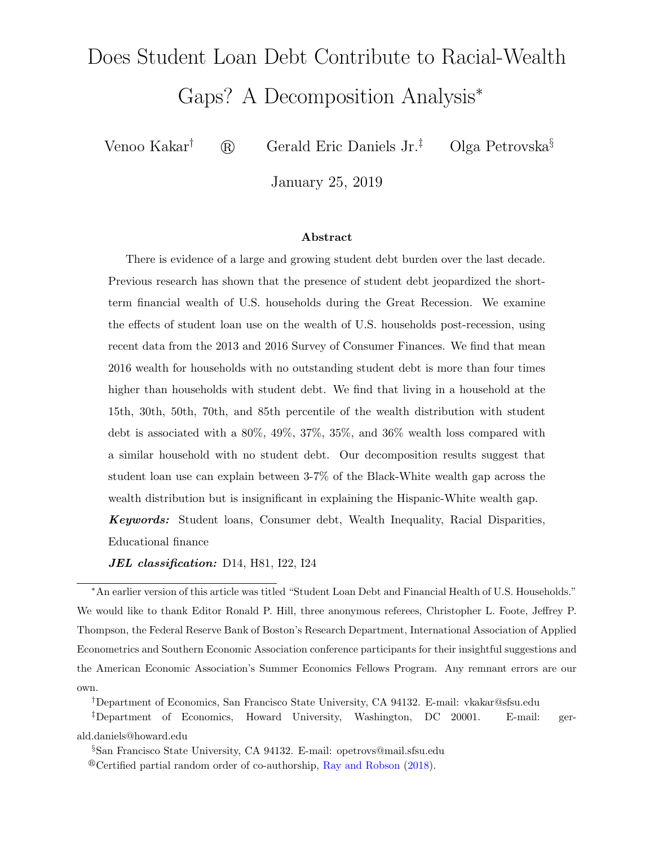# <span id="page-0-0"></span>Does Student Loan Debt Contribute to Racial-Wealth Gaps? A Decomposition Analysis<sup>∗</sup>

Venoo Kakar<sup>†</sup>  $\qquad \mathbb{R}$  Gerald Eric Daniels Jr.<sup>‡</sup> Olga Petrovska<sup>§</sup>

January 25, 2019

#### Abstract

There is evidence of a large and growing student debt burden over the last decade. Previous research has shown that the presence of student debt jeopardized the shortterm financial wealth of U.S. households during the Great Recession. We examine the effects of student loan use on the wealth of U.S. households post-recession, using recent data from the 2013 and 2016 Survey of Consumer Finances. We find that mean 2016 wealth for households with no outstanding student debt is more than four times higher than households with student debt. We find that living in a household at the 15th, 30th, 50th, 70th, and 85th percentile of the wealth distribution with student debt is associated with a 80%, 49%, 37%, 35%, and 36% wealth loss compared with a similar household with no student debt. Our decomposition results suggest that student loan use can explain between 3-7% of the Black-White wealth gap across the wealth distribution but is insignificant in explaining the Hispanic-White wealth gap. **Keywords:** Student loans, Consumer debt, Wealth Inequality, Racial Disparities,

Educational finance

JEL classification: D14, H81, I22, I24

<sup>∗</sup>An earlier version of this article was titled "Student Loan Debt and Financial Health of U.S. Households." We would like to thank Editor Ronald P. Hill, three anonymous referees, Christopher L. Foote, Jeffrey P. Thompson, the Federal Reserve Bank of Boston's Research Department, International Association of Applied Econometrics and Southern Economic Association conference participants for their insightful suggestions and the American Economic Association's Summer Economics Fellows Program. Any remnant errors are our own.

†Department of Economics, San Francisco State University, CA 94132. E-mail: vkakar@sfsu.edu

‡Department of Economics, Howard University, Washington, DC 20001. E-mail: gerald.daniels@howard.edu

§San Francisco State University, CA 94132. E-mail: opetrovs@mail.sfsu.edu

 $\mathcal{R}$ Certified partial random order of co-authorship, [Ray and Robson](#page-41-0) [\(2018\)](#page-41-0).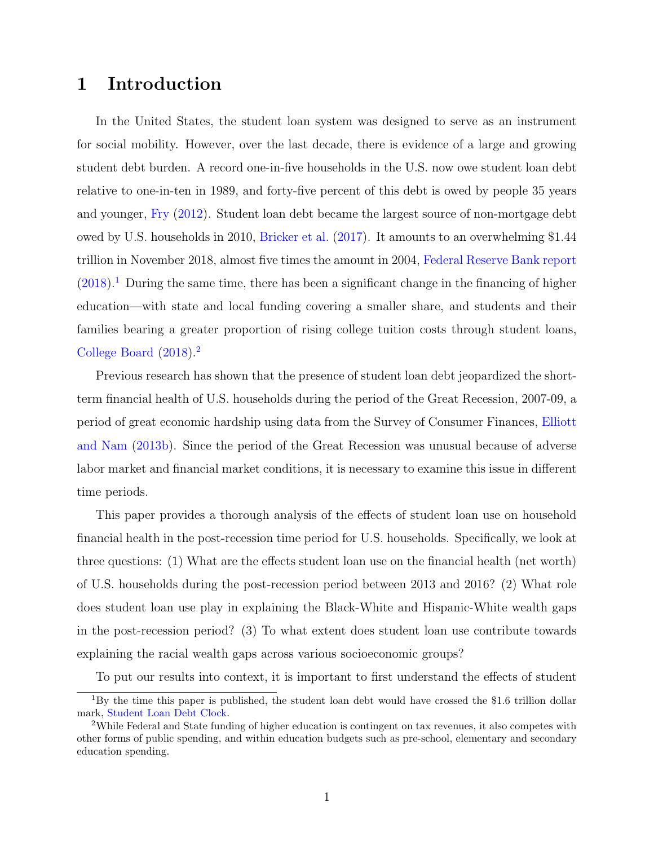## 1 Introduction

In the United States, the student loan system was designed to serve as an instrument for social mobility. However, over the last decade, there is evidence of a large and growing student debt burden. A record one-in-five households in the U.S. now owe student loan debt relative to one-in-ten in 1989, and forty-five percent of this debt is owed by people 35 years and younger, [Fry](#page-39-0) [\(2012\)](#page-39-0). Student loan debt became the largest source of non-mortgage debt owed by U.S. households in 2010, [Bricker et al.](#page-38-0) [\(2017\)](#page-38-0). It amounts to an overwhelming \$1.44 trillion in November 2018, almost five times the amount in 2004, [Federal Reserve Bank report](#page-39-1)  $(2018)^{1}$  $(2018)^{1}$  $(2018)^{1}$  $(2018)^{1}$  During the same time, there has been a significant change in the financing of higher education—with state and local funding covering a smaller share, and students and their families bearing a greater proportion of rising college tuition costs through student loans, [College Board](#page-38-1) [\(2018\)](#page-38-1).<sup>[2](#page-0-0)</sup>

Previous research has shown that the presence of student loan debt jeopardized the shortterm financial health of U.S. households during the period of the Great Recession, 2007-09, a period of great economic hardship using data from the Survey of Consumer Finances, [Elliott](#page-39-2) [and Nam](#page-39-2) [\(2013b\)](#page-39-2). Since the period of the Great Recession was unusual because of adverse labor market and financial market conditions, it is necessary to examine this issue in different time periods.

This paper provides a thorough analysis of the effects of student loan use on household financial health in the post-recession time period for U.S. households. Specifically, we look at three questions: (1) What are the effects student loan use on the financial health (net worth) of U.S. households during the post-recession period between 2013 and 2016? (2) What role does student loan use play in explaining the Black-White and Hispanic-White wealth gaps in the post-recession period? (3) To what extent does student loan use contribute towards explaining the racial wealth gaps across various socioeconomic groups?

To put our results into context, it is important to first understand the effects of student

 $1_{\text{By}}$  the time this paper is published, the student loan debt would have crossed the \$1.6 trillion dollar mark, [Student Loan Debt Clock.](http://www.finaid.org/loans/studentloandebtclock.phtml)

<sup>2</sup>While Federal and State funding of higher education is contingent on tax revenues, it also competes with other forms of public spending, and within education budgets such as pre-school, elementary and secondary education spending.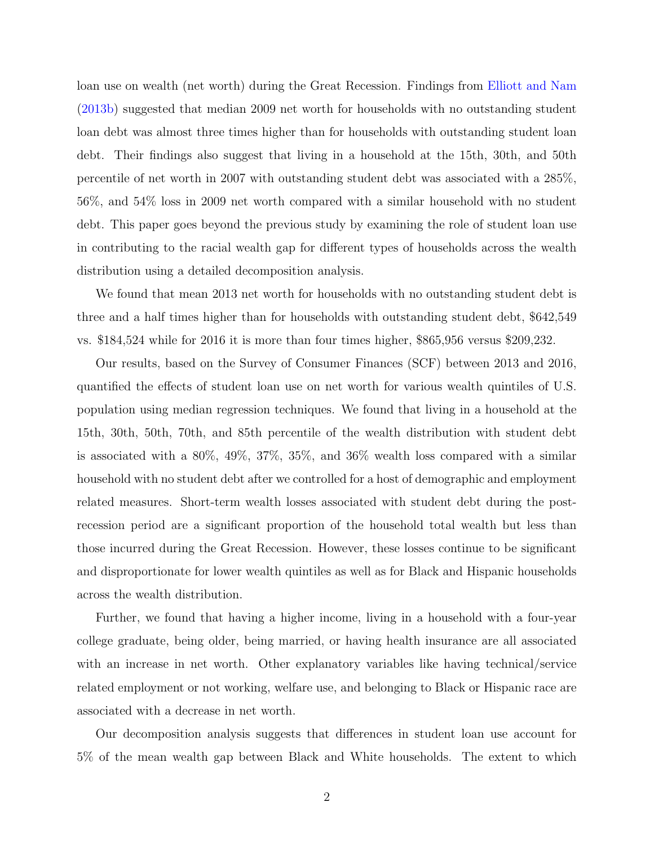loan use on wealth (net worth) during the Great Recession. Findings from [Elliott and Nam](#page-39-2) [\(2013b\)](#page-39-2) suggested that median 2009 net worth for households with no outstanding student loan debt was almost three times higher than for households with outstanding student loan debt. Their findings also suggest that living in a household at the 15th, 30th, and 50th percentile of net worth in 2007 with outstanding student debt was associated with a 285%, 56%, and 54% loss in 2009 net worth compared with a similar household with no student debt. This paper goes beyond the previous study by examining the role of student loan use in contributing to the racial wealth gap for different types of households across the wealth distribution using a detailed decomposition analysis.

We found that mean 2013 net worth for households with no outstanding student debt is three and a half times higher than for households with outstanding student debt, \$642,549 vs. \$184,524 while for 2016 it is more than four times higher, \$865,956 versus \$209,232.

Our results, based on the Survey of Consumer Finances (SCF) between 2013 and 2016, quantified the effects of student loan use on net worth for various wealth quintiles of U.S. population using median regression techniques. We found that living in a household at the 15th, 30th, 50th, 70th, and 85th percentile of the wealth distribution with student debt is associated with a 80%, 49%, 37%, 35%, and 36% wealth loss compared with a similar household with no student debt after we controlled for a host of demographic and employment related measures. Short-term wealth losses associated with student debt during the postrecession period are a significant proportion of the household total wealth but less than those incurred during the Great Recession. However, these losses continue to be significant and disproportionate for lower wealth quintiles as well as for Black and Hispanic households across the wealth distribution.

Further, we found that having a higher income, living in a household with a four-year college graduate, being older, being married, or having health insurance are all associated with an increase in net worth. Other explanatory variables like having technical/service related employment or not working, welfare use, and belonging to Black or Hispanic race are associated with a decrease in net worth.

Our decomposition analysis suggests that differences in student loan use account for 5% of the mean wealth gap between Black and White households. The extent to which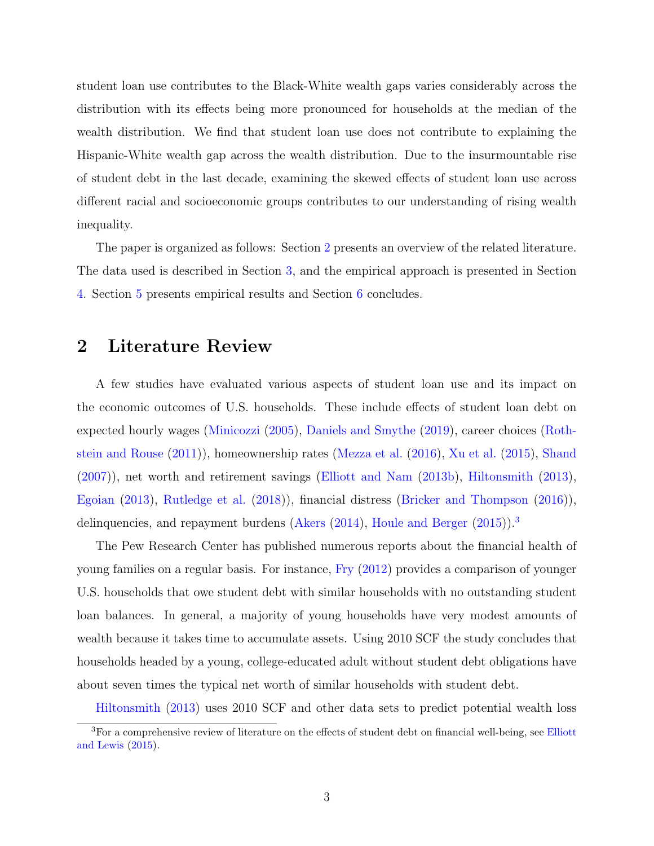student loan use contributes to the Black-White wealth gaps varies considerably across the distribution with its effects being more pronounced for households at the median of the wealth distribution. We find that student loan use does not contribute to explaining the Hispanic-White wealth gap across the wealth distribution. Due to the insurmountable rise of student debt in the last decade, examining the skewed effects of student loan use across different racial and socioeconomic groups contributes to our understanding of rising wealth inequality.

The paper is organized as follows: Section [2](#page-3-0) presents an overview of the related literature. The data used is described in Section [3,](#page-5-0) and the empirical approach is presented in Section [4.](#page-7-0) Section [5](#page-10-0) presents empirical results and Section [6](#page-16-0) concludes.

## <span id="page-3-0"></span>2 Literature Review

A few studies have evaluated various aspects of student loan use and its impact on the economic outcomes of U.S. households. These include effects of student loan debt on expected hourly wages [\(Minicozzi](#page-40-0) [\(2005\)](#page-40-0), [Daniels and Smythe](#page-39-3) [\(2019\)](#page-39-3), career choices [\(Roth](#page-41-1)[stein and Rouse](#page-41-1) [\(2011\)](#page-41-1)), homeownership rates [\(Mezza et al.](#page-40-1) [\(2016\)](#page-40-1), [Xu et al.](#page-41-2) [\(2015\)](#page-41-2), [Shand](#page-41-3) [\(2007\)](#page-41-3)), net worth and retirement savings [\(Elliott and Nam](#page-39-2) [\(2013b\)](#page-39-2), [Hiltonsmith](#page-40-2) [\(2013\)](#page-40-2), [Egoian](#page-39-4) [\(2013\)](#page-39-4), [Rutledge et al.](#page-41-4) [\(2018\)](#page-41-4)), financial distress [\(Bricker and Thompson](#page-38-2) [\(2016\)](#page-38-2)), delinquencies, and repayment burdens [\(Akers](#page-38-3) [\(2014\)](#page-38-3), [Houle and Berger](#page-40-3) [\(2015\)](#page-40-3)).<sup>[3](#page-0-0)</sup>

The Pew Research Center has published numerous reports about the financial health of young families on a regular basis. For instance, [Fry](#page-39-0) [\(2012\)](#page-39-0) provides a comparison of younger U.S. households that owe student debt with similar households with no outstanding student loan balances. In general, a majority of young households have very modest amounts of wealth because it takes time to accumulate assets. Using 2010 SCF the study concludes that households headed by a young, college-educated adult without student debt obligations have about seven times the typical net worth of similar households with student debt.

[Hiltonsmith](#page-40-2) [\(2013\)](#page-40-2) uses 2010 SCF and other data sets to predict potential wealth loss

 ${}^{3}$  For a comprehensive review of literature on the effects of student debt on financial well-being, see [Elliott](#page-39-5) [and Lewis](#page-39-5) [\(2015\)](#page-39-5).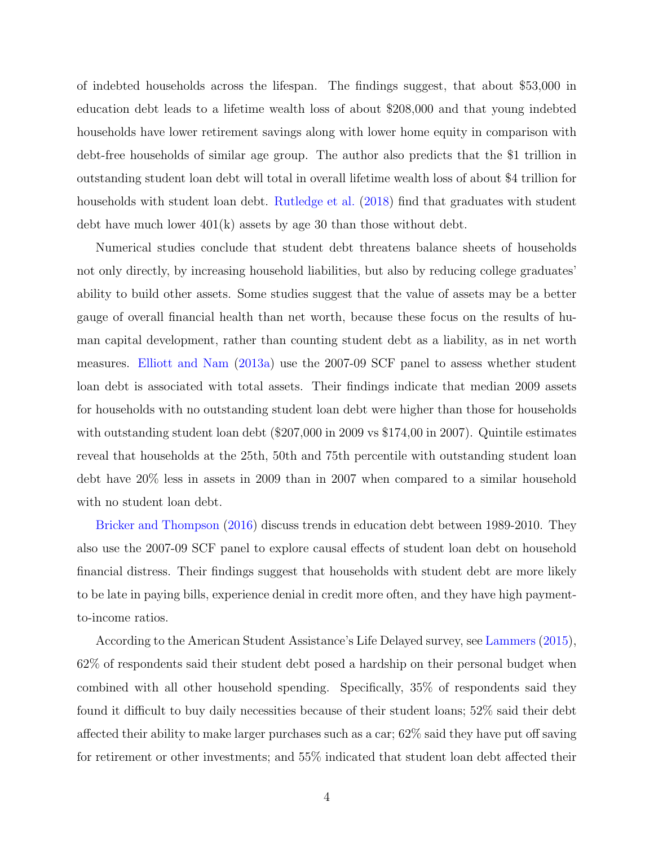of indebted households across the lifespan. The findings suggest, that about \$53,000 in education debt leads to a lifetime wealth loss of about \$208,000 and that young indebted households have lower retirement savings along with lower home equity in comparison with debt-free households of similar age group. The author also predicts that the \$1 trillion in outstanding student loan debt will total in overall lifetime wealth loss of about \$4 trillion for households with student loan debt. [Rutledge et al.](#page-41-4) [\(2018\)](#page-41-4) find that graduates with student debt have much lower  $401(k)$  assets by age 30 than those without debt.

Numerical studies conclude that student debt threatens balance sheets of households not only directly, by increasing household liabilities, but also by reducing college graduates' ability to build other assets. Some studies suggest that the value of assets may be a better gauge of overall financial health than net worth, because these focus on the results of human capital development, rather than counting student debt as a liability, as in net worth measures. [Elliott and Nam](#page-39-6) [\(2013a\)](#page-39-6) use the 2007-09 SCF panel to assess whether student loan debt is associated with total assets. Their findings indicate that median 2009 assets for households with no outstanding student loan debt were higher than those for households with outstanding student loan debt (\$207,000 in 2009 vs \$174,00 in 2007). Quintile estimates reveal that households at the 25th, 50th and 75th percentile with outstanding student loan debt have 20% less in assets in 2009 than in 2007 when compared to a similar household with no student loan debt.

[Bricker and Thompson](#page-38-2) [\(2016\)](#page-38-2) discuss trends in education debt between 1989-2010. They also use the 2007-09 SCF panel to explore causal effects of student loan debt on household financial distress. Their findings suggest that households with student debt are more likely to be late in paying bills, experience denial in credit more often, and they have high paymentto-income ratios.

According to the American Student Assistance's Life Delayed survey, see [Lammers](#page-40-4) [\(2015\)](#page-40-4), 62% of respondents said their student debt posed a hardship on their personal budget when combined with all other household spending. Specifically, 35% of respondents said they found it difficult to buy daily necessities because of their student loans; 52% said their debt affected their ability to make larger purchases such as a car; 62% said they have put off saving for retirement or other investments; and 55% indicated that student loan debt affected their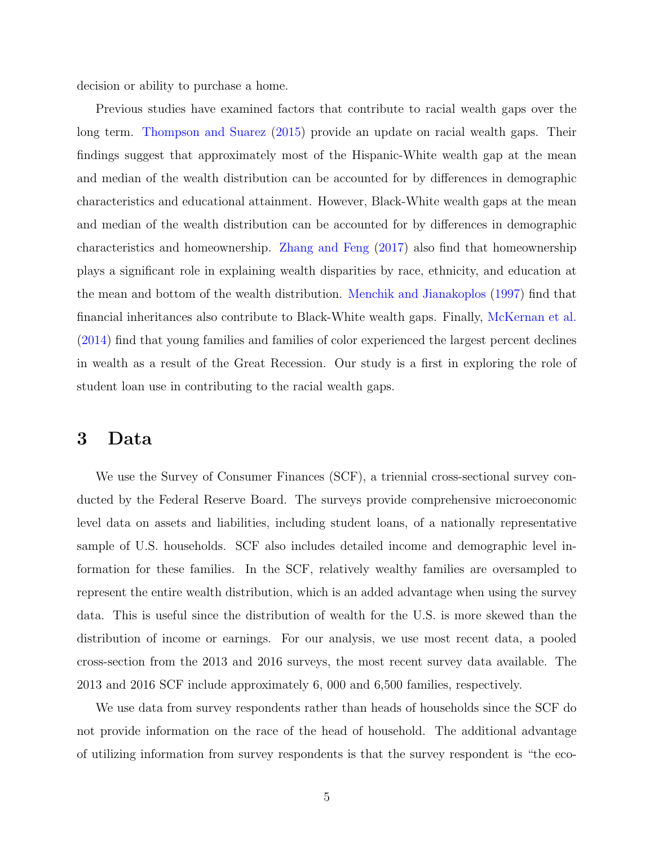decision or ability to purchase a home.

Previous studies have examined factors that contribute to racial wealth gaps over the long term. [Thompson and Suarez](#page-41-5) [\(2015\)](#page-41-5) provide an update on racial wealth gaps. Their findings suggest that approximately most of the Hispanic-White wealth gap at the mean and median of the wealth distribution can be accounted for by differences in demographic characteristics and educational attainment. However, Black-White wealth gaps at the mean and median of the wealth distribution can be accounted for by differences in demographic characteristics and homeownership. [Zhang and Feng](#page-41-6) [\(2017\)](#page-41-6) also find that homeownership plays a significant role in explaining wealth disparities by race, ethnicity, and education at the mean and bottom of the wealth distribution. [Menchik and Jianakoplos](#page-40-5) [\(1997\)](#page-40-5) find that financial inheritances also contribute to Black-White wealth gaps. Finally, [McKernan et al.](#page-40-6) [\(2014\)](#page-40-6) find that young families and families of color experienced the largest percent declines in wealth as a result of the Great Recession. Our study is a first in exploring the role of student loan use in contributing to the racial wealth gaps.

#### <span id="page-5-0"></span>3 Data

We use the Survey of Consumer Finances (SCF), a triennial cross-sectional survey conducted by the Federal Reserve Board. The surveys provide comprehensive microeconomic level data on assets and liabilities, including student loans, of a nationally representative sample of U.S. households. SCF also includes detailed income and demographic level information for these families. In the SCF, relatively wealthy families are oversampled to represent the entire wealth distribution, which is an added advantage when using the survey data. This is useful since the distribution of wealth for the U.S. is more skewed than the distribution of income or earnings. For our analysis, we use most recent data, a pooled cross-section from the 2013 and 2016 surveys, the most recent survey data available. The 2013 and 2016 SCF include approximately 6, 000 and 6,500 families, respectively.

We use data from survey respondents rather than heads of households since the SCF do not provide information on the race of the head of household. The additional advantage of utilizing information from survey respondents is that the survey respondent is "the eco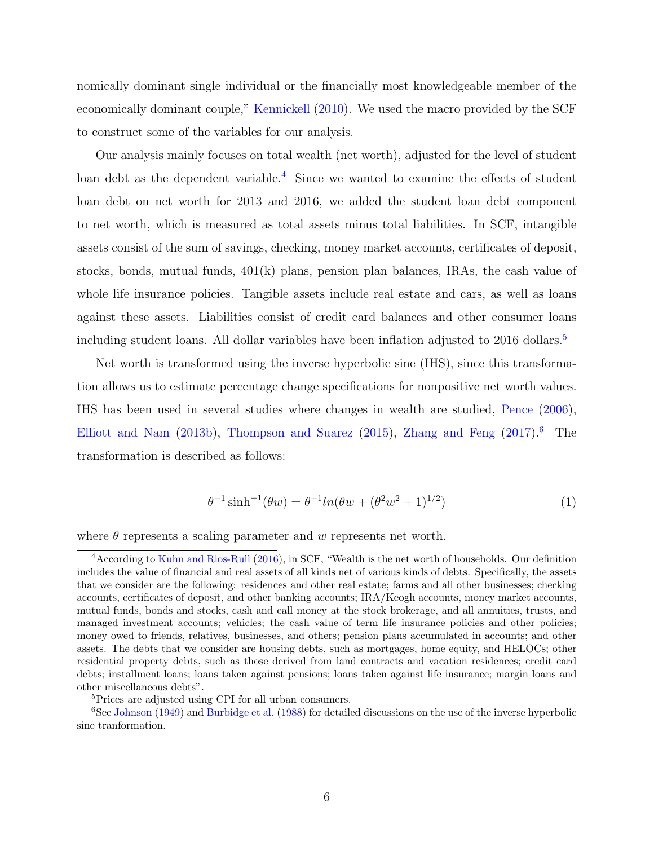nomically dominant single individual or the financially most knowledgeable member of the economically dominant couple," [Kennickell](#page-40-7) [\(2010\)](#page-40-7). We used the macro provided by the SCF to construct some of the variables for our analysis.

Our analysis mainly focuses on total wealth (net worth), adjusted for the level of student loan debt as the dependent variable.<sup>[4](#page-0-0)</sup> Since we wanted to examine the effects of student loan debt on net worth for 2013 and 2016, we added the student loan debt component to net worth, which is measured as total assets minus total liabilities. In SCF, intangible assets consist of the sum of savings, checking, money market accounts, certificates of deposit, stocks, bonds, mutual funds, 401(k) plans, pension plan balances, IRAs, the cash value of whole life insurance policies. Tangible assets include real estate and cars, as well as loans against these assets. Liabilities consist of credit card balances and other consumer loans including student loans. All dollar variables have been inflation adjusted to 2016 dollars.<sup>[5](#page-0-0)</sup>

Net worth is transformed using the inverse hyperbolic sine (IHS), since this transformation allows us to estimate percentage change specifications for nonpositive net worth values. IHS has been used in several studies where changes in wealth are studied, [Pence](#page-41-7) [\(2006\)](#page-41-7), [Elliott and Nam](#page-39-2) [\(2013b\)](#page-39-2), [Thompson and Suarez](#page-41-5) [\(2015\)](#page-41-5), [Zhang and Feng](#page-41-6) [\(2017\)](#page-41-6).<sup>[6](#page-0-0)</sup> The transformation is described as follows:

$$
\theta^{-1}\sinh^{-1}(\theta w) = \theta^{-1}\ln(\theta w + (\theta^2 w^2 + 1)^{1/2})\tag{1}
$$

where  $\theta$  represents a scaling parameter and w represents net worth.

<sup>4</sup>According to [Kuhn and Rios-Rull](#page-40-8) [\(2016\)](#page-40-8), in SCF, "Wealth is the net worth of households. Our definition includes the value of financial and real assets of all kinds net of various kinds of debts. Specifically, the assets that we consider are the following: residences and other real estate; farms and all other businesses; checking accounts, certificates of deposit, and other banking accounts; IRA/Keogh accounts, money market accounts, mutual funds, bonds and stocks, cash and call money at the stock brokerage, and all annuities, trusts, and managed investment accounts; vehicles; the cash value of term life insurance policies and other policies; money owed to friends, relatives, businesses, and others; pension plans accumulated in accounts; and other assets. The debts that we consider are housing debts, such as mortgages, home equity, and HELOCs; other residential property debts, such as those derived from land contracts and vacation residences; credit card debts; installment loans; loans taken against pensions; loans taken against life insurance; margin loans and other miscellaneous debts".

<sup>5</sup>Prices are adjusted using CPI for all urban consumers.

<sup>6</sup>See [Johnson](#page-40-9) [\(1949\)](#page-40-9) and [Burbidge et al.](#page-38-4) [\(1988\)](#page-38-4) for detailed discussions on the use of the inverse hyperbolic sine tranformation.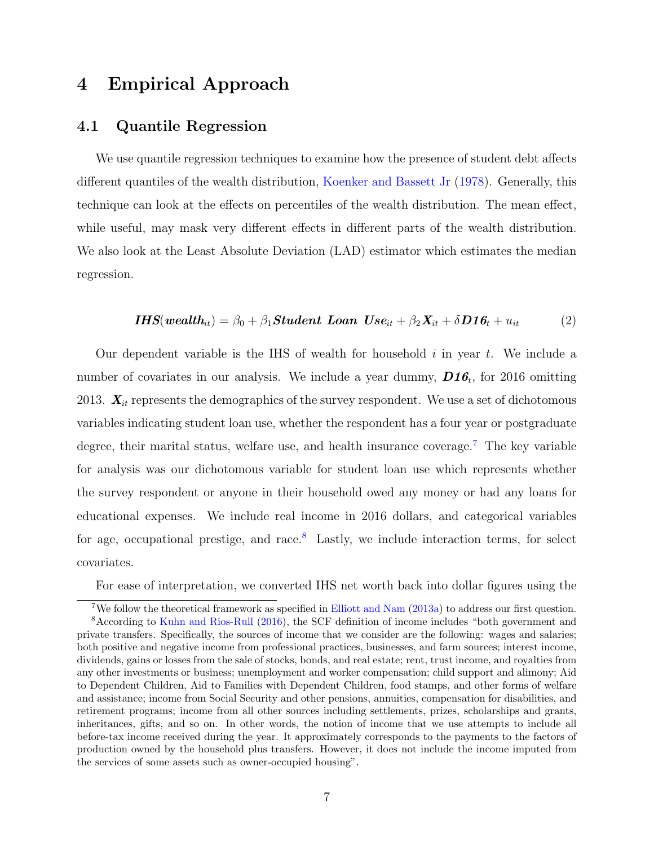## <span id="page-7-0"></span>4 Empirical Approach

#### 4.1 Quantile Regression

We use quantile regression techniques to examine how the presence of student debt affects different quantiles of the wealth distribution, [Koenker and Bassett Jr](#page-40-10) [\(1978\)](#page-40-10). Generally, this technique can look at the effects on percentiles of the wealth distribution. The mean effect, while useful, may mask very different effects in different parts of the wealth distribution. We also look at the Least Absolute Deviation (LAD) estimator which estimates the median regression.

$$
IHS(weakth_{it}) = \beta_0 + \beta_1 Student\; Loan\; Use_{it} + \beta_2 X_{it} + \delta D16_t + u_{it}
$$
 (2)

Our dependent variable is the IHS of wealth for household  $i$  in year  $t$ . We include a number of covariates in our analysis. We include a year dummy,  $D16_t$ , for 2016 omitting 2013.  $X_{it}$  represents the demographics of the survey respondent. We use a set of dichotomous variables indicating student loan use, whether the respondent has a four year or postgraduate degree, their marital status, welfare use, and health insurance coverage.[7](#page-0-0) The key variable for analysis was our dichotomous variable for student loan use which represents whether the survey respondent or anyone in their household owed any money or had any loans for educational expenses. We include real income in 2016 dollars, and categorical variables for age, occupational prestige, and race.<sup>[8](#page-0-0)</sup> Lastly, we include interaction terms, for select covariates.

For ease of interpretation, we converted IHS net worth back into dollar figures using the

<sup>7</sup>We follow the theoretical framework as specified in [Elliott and Nam](#page-39-6) [\(2013a\)](#page-39-6) to address our first question. <sup>8</sup>According to [Kuhn and Rios-Rull](#page-40-8) [\(2016\)](#page-40-8), the SCF definition of income includes "both government and private transfers. Specifically, the sources of income that we consider are the following: wages and salaries; both positive and negative income from professional practices, businesses, and farm sources; interest income, dividends, gains or losses from the sale of stocks, bonds, and real estate; rent, trust income, and royalties from any other investments or business; unemployment and worker compensation; child support and alimony; Aid to Dependent Children, Aid to Families with Dependent Children, food stamps, and other forms of welfare and assistance; income from Social Security and other pensions, annuities, compensation for disabilities, and retirement programs; income from all other sources including settlements, prizes, scholarships and grants, inheritances, gifts, and so on. In other words, the notion of income that we use attempts to include all before-tax income received during the year. It approximately corresponds to the payments to the factors of production owned by the household plus transfers. However, it does not include the income imputed from the services of some assets such as owner-occupied housing".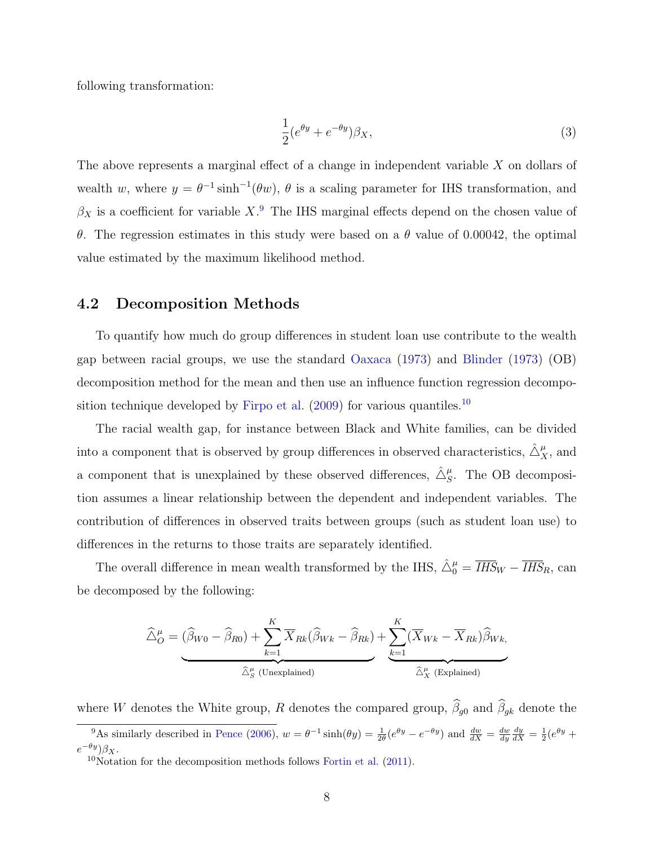following transformation:

$$
\frac{1}{2}(e^{\theta y} + e^{-\theta y})\beta_X,\tag{3}
$$

The above represents a marginal effect of a change in independent variable X on dollars of wealth w, where  $y = \theta^{-1} \sinh^{-1}(\theta w)$ ,  $\theta$  is a scaling parameter for IHS transformation, and  $\beta_X$  is a coefficient for variable  $X$ <sup>[9](#page-0-0)</sup>. The IHS marginal effects depend on the chosen value of θ. The regression estimates in this study were based on a θ value of 0.00042, the optimal value estimated by the maximum likelihood method.

#### <span id="page-8-0"></span>4.2 Decomposition Methods

To quantify how much do group differences in student loan use contribute to the wealth gap between racial groups, we use the standard [Oaxaca](#page-40-11) [\(1973\)](#page-40-11) and [Blinder](#page-38-5) [\(1973\)](#page-38-5) (OB) decomposition method for the mean and then use an influence function regression decompo-sition technique developed by [Firpo et al.](#page-39-7)  $(2009)$  for various quantiles.<sup>[10](#page-0-0)</sup>

The racial wealth gap, for instance between Black and White families, can be divided into a component that is observed by group differences in observed characteristics,  $\hat{\triangle}^{\mu}_{X}$ , and a component that is unexplained by these observed differences,  $\hat{\triangle}_{S}^{\mu}$ . The OB decomposition assumes a linear relationship between the dependent and independent variables. The contribution of differences in observed traits between groups (such as student loan use) to differences in the returns to those traits are separately identified.

The overall difference in mean wealth transformed by the IHS,  $\hat{\triangle}_{0}^{\mu} = \overline{IHS}_{W} - \overline{IHS}_{R}$ , can be decomposed by the following:

$$
\widehat{\triangle}_{O}^{\mu} = (\widehat{\beta}_{W0} - \widehat{\beta}_{R0}) + \sum_{k=1}^{K} \overline{X}_{Rk} (\widehat{\beta}_{Wk} - \widehat{\beta}_{Rk}) + \underbrace{\sum_{k=1}^{K} (\overline{X}_{Wk} - \overline{X}_{Rk}) \widehat{\beta}_{Wk}}_{\widehat{\triangle}_{X}^{\mu} \text{ (Unexplained)}}.
$$

where W denotes the White group, R denotes the compared group,  $\widehat{\beta}_{g0}$  and  $\widehat{\beta}_{gk}$  denote the

<sup>&</sup>lt;sup>9</sup>As similarly described in [Pence](#page-41-7) [\(2006\)](#page-41-7),  $w = \theta^{-1} \sinh(\theta y) = \frac{1}{2\theta} (e^{\theta y} - e^{-\theta y})$  and  $\frac{dw}{dX} = \frac{dw}{dy} \frac{dy}{dX} = \frac{1}{2} (e^{\theta y} + e^{-\theta y})$  $e^{-\theta y}$ ) $\beta_X$ .

 $10$ Notation for the decomposition methods follows [Fortin et al.](#page-39-8) [\(2011\)](#page-39-8).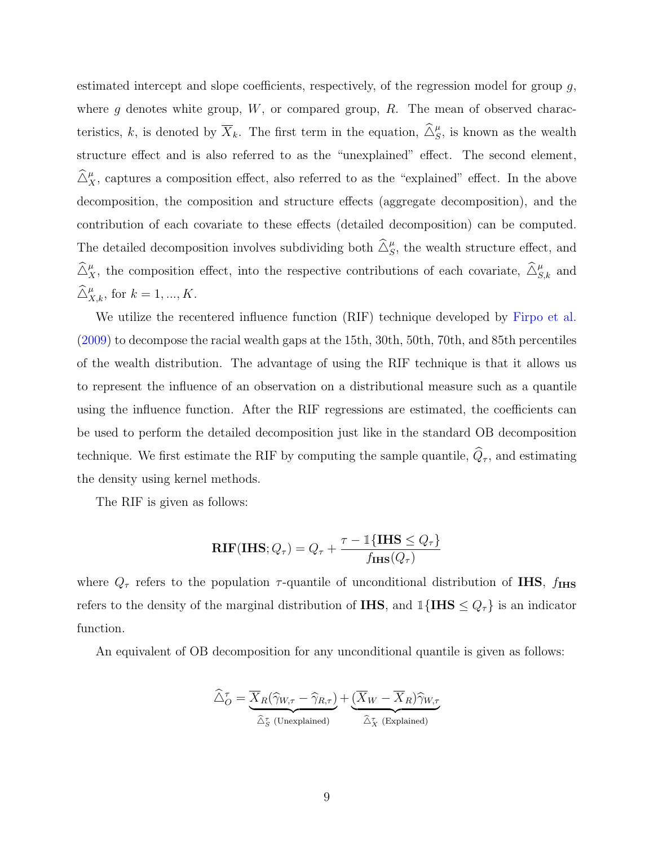estimated intercept and slope coefficients, respectively, of the regression model for group  $g$ , where g denotes white group,  $W$ , or compared group,  $R$ . The mean of observed characteristics, k, is denoted by  $\overline{X}_k$ . The first term in the equation,  $\widehat{\Delta}_S^{\mu}$ , is known as the wealth structure effect and is also referred to as the "unexplained" effect. The second element,  $\widehat{\Delta}^{\mu}_{X}$ , captures a composition effect, also referred to as the "explained" effect. In the above decomposition, the composition and structure effects (aggregate decomposition), and the contribution of each covariate to these effects (detailed decomposition) can be computed. The detailed decomposition involves subdividing both  $\widehat{\Delta}_{S}^{\mu}$ , the wealth structure effect, and  $\widehat{\Delta}_X^{\mu}$ , the composition effect, into the respective contributions of each covariate,  $\widehat{\Delta}_{S,k}^{\mu}$  and  $\widehat{\Delta}_{X,k}^{\mu}$ , for  $k = 1, ..., K$ .

We utilize the recentered influence function (RIF) technique developed by [Firpo et al.](#page-39-7) [\(2009\)](#page-39-7) to decompose the racial wealth gaps at the 15th, 30th, 50th, 70th, and 85th percentiles of the wealth distribution. The advantage of using the RIF technique is that it allows us to represent the influence of an observation on a distributional measure such as a quantile using the influence function. After the RIF regressions are estimated, the coefficients can be used to perform the detailed decomposition just like in the standard OB decomposition technique. We first estimate the RIF by computing the sample quantile,  $\widehat{Q}_{\tau}$ , and estimating the density using kernel methods.

The RIF is given as follows:

$$
\mathrm{RIF}(IHS; Q_{\tau}) = Q_{\tau} + \frac{\tau - \mathbb{1}\{IHS \leq Q_{\tau}\}}{f_{\mathrm{IHS}}(Q_{\tau})}
$$

where  $Q_{\tau}$  refers to the population  $\tau$ -quantile of unconditional distribution of IHS,  $f_{\text{IHS}}$ refers to the density of the marginal distribution of **IHS**, and  $1\{\textbf{IHS} \leq Q_{\tau}\}\)$  is an indicator function.

An equivalent of OB decomposition for any unconditional quantile is given as follows:

$$
\widehat{\triangle}_{O}^{\tau} = \frac{\overline{X}_{R}(\widehat{\gamma}_{W,\tau} - \widehat{\gamma}_{R,\tau})}{\widehat{\triangle}_{S}^{\tau} \text{ (Unexplained)}} + \underbrace{(\overline{X}_{W} - \overline{X}_{R})\widehat{\gamma}_{W,\tau}}_{\widehat{\triangle}_{X}^{\tau} \text{ (Explained)}}
$$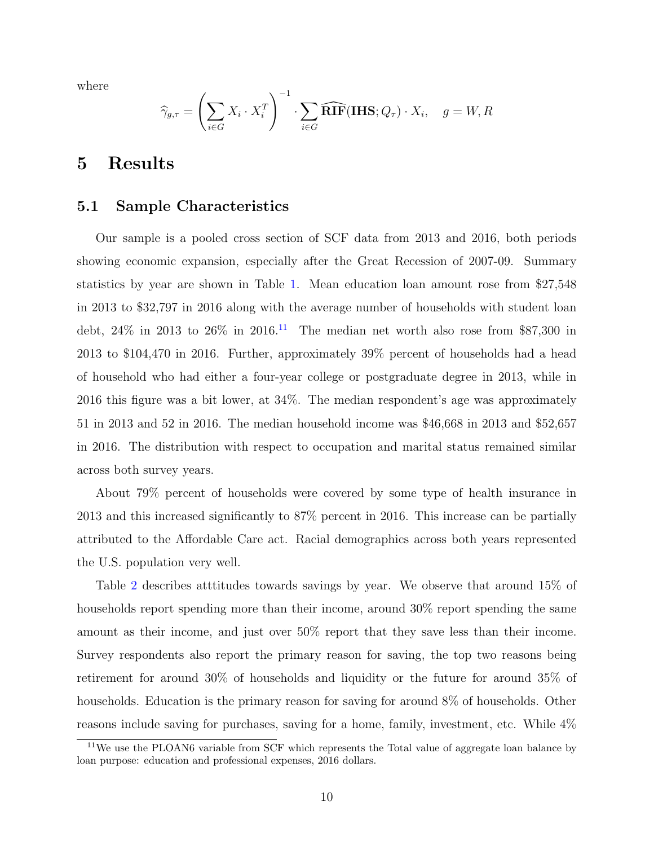where

$$
\widehat{\gamma}_{g,\tau} = \left(\sum_{i \in G} X_i \cdot X_i^T\right)^{-1} \cdot \sum_{i \in G} \widehat{\text{RIF}}(\text{IHS}; Q_\tau) \cdot X_i, \quad g = W, R
$$

## <span id="page-10-0"></span>5 Results

#### 5.1 Sample Characteristics

Our sample is a pooled cross section of SCF data from 2013 and 2016, both periods showing economic expansion, especially after the Great Recession of 2007-09. Summary statistics by year are shown in Table [1.](#page-20-0) Mean education loan amount rose from \$27,548 in 2013 to \$32,797 in 2016 along with the average number of households with student loan debt,  $24\%$  in  $2013$  to  $26\%$  in  $2016$ .<sup>[11](#page-0-0)</sup> The median net worth also rose from \$87,300 in 2013 to \$104,470 in 2016. Further, approximately 39% percent of households had a head of household who had either a four-year college or postgraduate degree in 2013, while in 2016 this figure was a bit lower, at 34%. The median respondent's age was approximately 51 in 2013 and 52 in 2016. The median household income was \$46,668 in 2013 and \$52,657 in 2016. The distribution with respect to occupation and marital status remained similar across both survey years.

About 79% percent of households were covered by some type of health insurance in 2013 and this increased significantly to 87% percent in 2016. This increase can be partially attributed to the Affordable Care act. Racial demographics across both years represented the U.S. population very well.

Table [2](#page-21-0) describes atttitudes towards savings by year. We observe that around 15% of households report spending more than their income, around 30% report spending the same amount as their income, and just over 50% report that they save less than their income. Survey respondents also report the primary reason for saving, the top two reasons being retirement for around 30% of households and liquidity or the future for around 35% of households. Education is the primary reason for saving for around 8% of households. Other reasons include saving for purchases, saving for a home, family, investment, etc. While 4%

<sup>&</sup>lt;sup>11</sup>We use the PLOAN6 variable from SCF which represents the Total value of aggregate loan balance by loan purpose: education and professional expenses, 2016 dollars.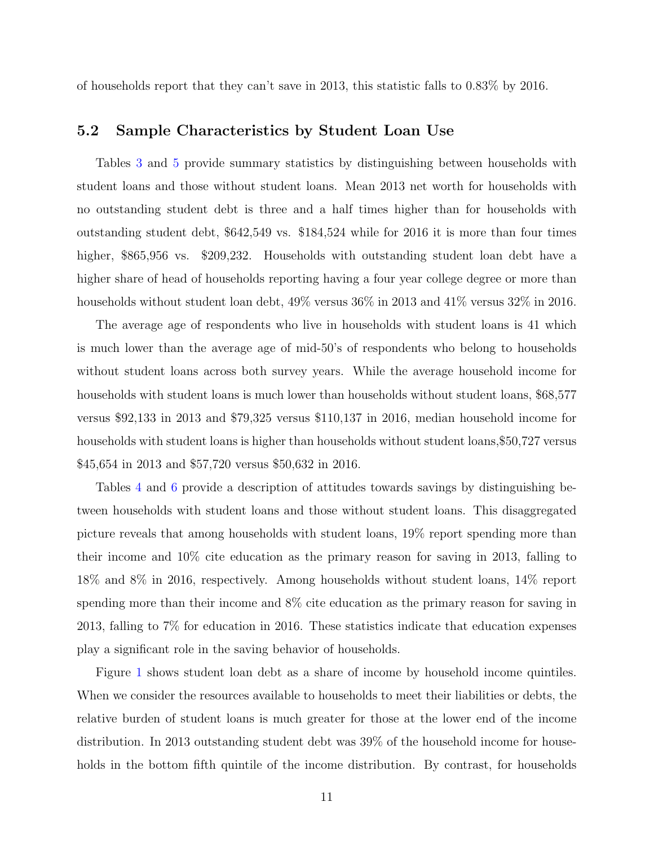of households report that they can't save in 2013, this statistic falls to 0.83% by 2016.

#### 5.2 Sample Characteristics by Student Loan Use

Tables [3](#page-22-0) and [5](#page-24-0) provide summary statistics by distinguishing between households with student loans and those without student loans. Mean 2013 net worth for households with no outstanding student debt is three and a half times higher than for households with outstanding student debt, \$642,549 vs. \$184,524 while for 2016 it is more than four times higher, \$865,956 vs. \$209,232. Households with outstanding student loan debt have a higher share of head of households reporting having a four year college degree or more than households without student loan debt,  $49\%$  versus  $36\%$  in  $2013$  and  $41\%$  versus  $32\%$  in  $2016$ .

The average age of respondents who live in households with student loans is 41 which is much lower than the average age of mid-50's of respondents who belong to households without student loans across both survey years. While the average household income for households with student loans is much lower than households without student loans, \$68,577 versus \$92,133 in 2013 and \$79,325 versus \$110,137 in 2016, median household income for households with student loans is higher than households without student loans,\$50,727 versus \$45,654 in 2013 and \$57,720 versus \$50,632 in 2016.

Tables [4](#page-23-0) and [6](#page-25-0) provide a description of attitudes towards savings by distinguishing between households with student loans and those without student loans. This disaggregated picture reveals that among households with student loans, 19% report spending more than their income and 10% cite education as the primary reason for saving in 2013, falling to 18% and 8% in 2016, respectively. Among households without student loans, 14% report spending more than their income and 8% cite education as the primary reason for saving in 2013, falling to 7% for education in 2016. These statistics indicate that education expenses play a significant role in the saving behavior of households.

Figure [1](#page-26-0) shows student loan debt as a share of income by household income quintiles. When we consider the resources available to households to meet their liabilities or debts, the relative burden of student loans is much greater for those at the lower end of the income distribution. In 2013 outstanding student debt was 39% of the household income for households in the bottom fifth quintile of the income distribution. By contrast, for households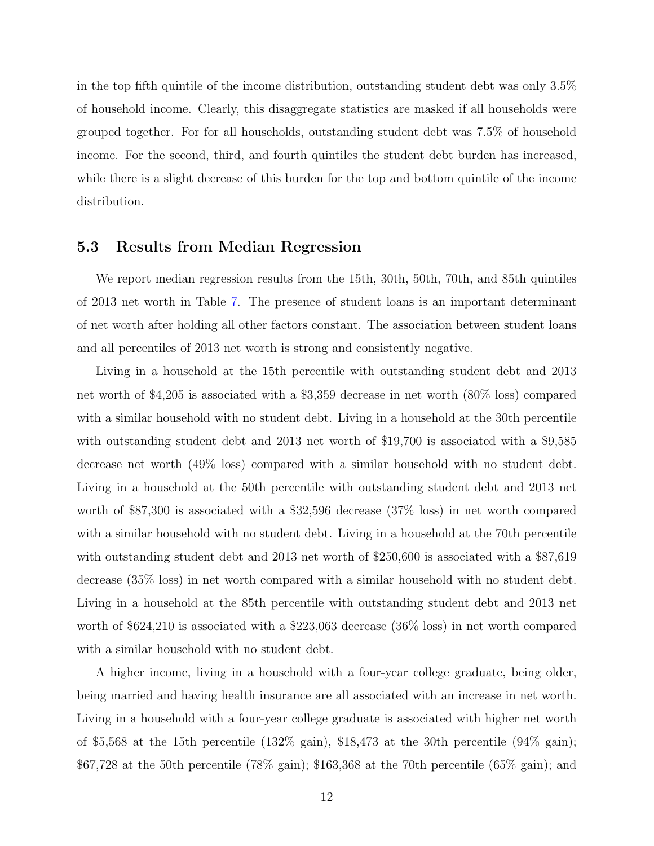in the top fifth quintile of the income distribution, outstanding student debt was only 3.5% of household income. Clearly, this disaggregate statistics are masked if all households were grouped together. For for all households, outstanding student debt was 7.5% of household income. For the second, third, and fourth quintiles the student debt burden has increased, while there is a slight decrease of this burden for the top and bottom quintile of the income distribution.

#### 5.3 Results from Median Regression

We report median regression results from the 15th, 30th, 50th, 70th, and 85th quintiles of 2013 net worth in Table [7.](#page-27-0) The presence of student loans is an important determinant of net worth after holding all other factors constant. The association between student loans and all percentiles of 2013 net worth is strong and consistently negative.

Living in a household at the 15th percentile with outstanding student debt and 2013 net worth of \$4,205 is associated with a \$3,359 decrease in net worth (80% loss) compared with a similar household with no student debt. Living in a household at the 30th percentile with outstanding student debt and 2013 net worth of \$19,700 is associated with a \$9,585 decrease net worth (49% loss) compared with a similar household with no student debt. Living in a household at the 50th percentile with outstanding student debt and 2013 net worth of \$87,300 is associated with a \$32,596 decrease (37% loss) in net worth compared with a similar household with no student debt. Living in a household at the 70th percentile with outstanding student debt and 2013 net worth of \$250,600 is associated with a \$87,619 decrease (35% loss) in net worth compared with a similar household with no student debt. Living in a household at the 85th percentile with outstanding student debt and 2013 net worth of \$624,210 is associated with a \$223,063 decrease (36% loss) in net worth compared with a similar household with no student debt.

A higher income, living in a household with a four-year college graduate, being older, being married and having health insurance are all associated with an increase in net worth. Living in a household with a four-year college graduate is associated with higher net worth of \$5,568 at the 15th percentile  $(132\% \text{ gain})$ , \$18,473 at the 30th percentile  $(94\% \text{ gain})$ ; \$67,728 at the 50th percentile (78% gain); \$163,368 at the 70th percentile (65% gain); and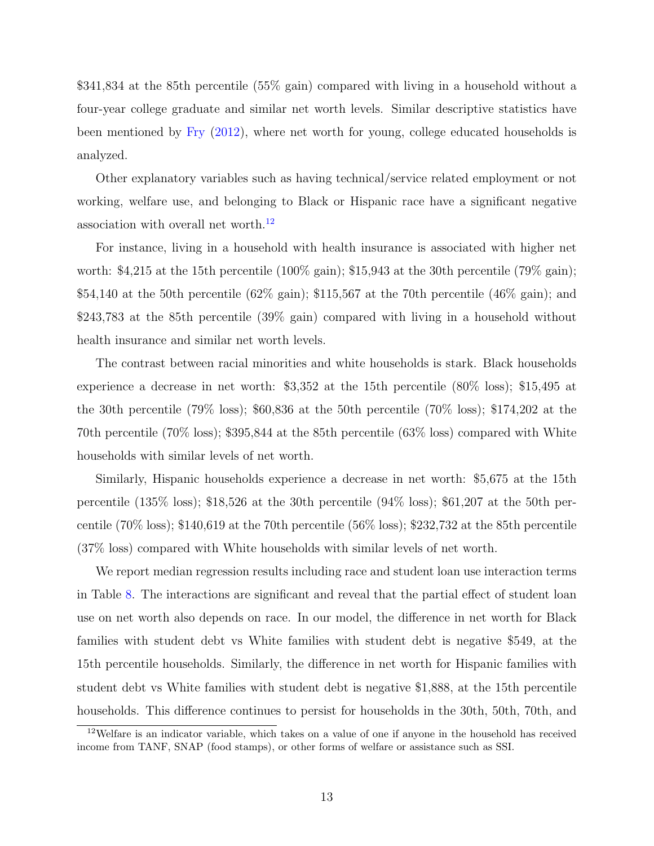\$341,834 at the 85th percentile (55% gain) compared with living in a household without a four-year college graduate and similar net worth levels. Similar descriptive statistics have been mentioned by [Fry](#page-39-0) [\(2012\)](#page-39-0), where net worth for young, college educated households is analyzed.

Other explanatory variables such as having technical/service related employment or not working, welfare use, and belonging to Black or Hispanic race have a significant negative association with overall net worth. $^{12}$  $^{12}$  $^{12}$ 

For instance, living in a household with health insurance is associated with higher net worth: \$4,215 at the 15th percentile  $(100\% \text{ gain})$ ; \$15,943 at the 30th percentile  $(79\% \text{ gain})$ ; \$54,140 at the 50th percentile  $(62\% \text{ gain})$ ; \$115,567 at the 70th percentile  $(46\% \text{ gain})$ ; and \$243,783 at the 85th percentile (39% gain) compared with living in a household without health insurance and similar net worth levels.

The contrast between racial minorities and white households is stark. Black households experience a decrease in net worth: \$3,352 at the 15th percentile (80% loss); \$15,495 at the 30th percentile (79% loss); \$60,836 at the 50th percentile (70% loss); \$174,202 at the 70th percentile (70% loss); \$395,844 at the 85th percentile (63% loss) compared with White households with similar levels of net worth.

Similarly, Hispanic households experience a decrease in net worth: \$5,675 at the 15th percentile (135\% loss);  $$18,526$  at the 30th percentile (94\% loss);  $$61,207$  at the 50th percentile  $(70\% \text{ loss})$ ; \$140,619 at the 70th percentile  $(56\% \text{ loss})$ ; \$232,732 at the 85th percentile (37% loss) compared with White households with similar levels of net worth.

We report median regression results including race and student loan use interaction terms in Table [8.](#page-28-0) The interactions are significant and reveal that the partial effect of student loan use on net worth also depends on race. In our model, the difference in net worth for Black families with student debt vs White families with student debt is negative \$549, at the 15th percentile households. Similarly, the difference in net worth for Hispanic families with student debt vs White families with student debt is negative \$1,888, at the 15th percentile households. This difference continues to persist for households in the 30th, 50th, 70th, and

<sup>12</sup>Welfare is an indicator variable, which takes on a value of one if anyone in the household has received income from TANF, SNAP (food stamps), or other forms of welfare or assistance such as SSI.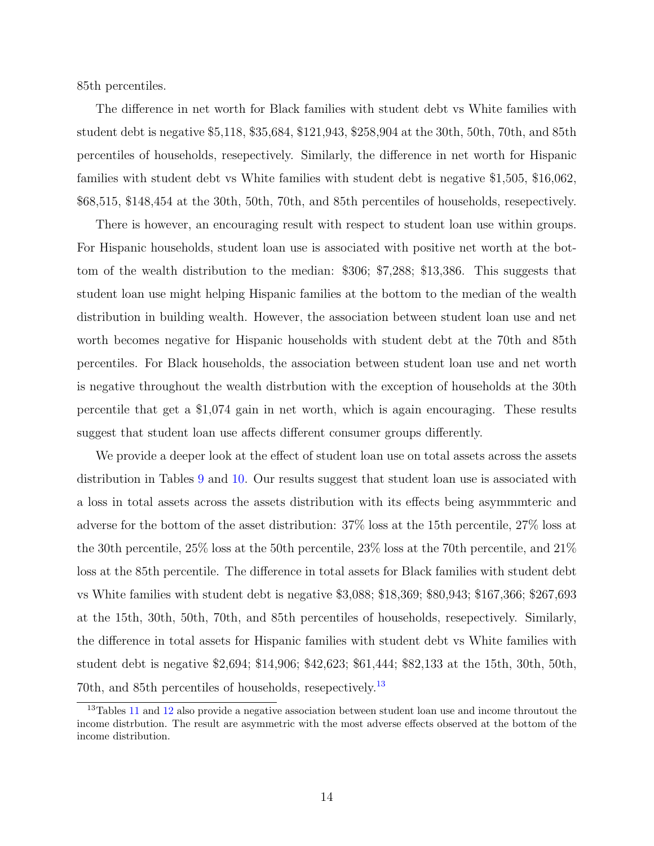85th percentiles.

The difference in net worth for Black families with student debt vs White families with student debt is negative \$5,118, \$35,684, \$121,943, \$258,904 at the 30th, 50th, 70th, and 85th percentiles of households, resepectively. Similarly, the difference in net worth for Hispanic families with student debt vs White families with student debt is negative \$1,505, \$16,062, \$68,515, \$148,454 at the 30th, 50th, 70th, and 85th percentiles of households, resepectively.

There is however, an encouraging result with respect to student loan use within groups. For Hispanic households, student loan use is associated with positive net worth at the bottom of the wealth distribution to the median: \$306; \$7,288; \$13,386. This suggests that student loan use might helping Hispanic families at the bottom to the median of the wealth distribution in building wealth. However, the association between student loan use and net worth becomes negative for Hispanic households with student debt at the 70th and 85th percentiles. For Black households, the association between student loan use and net worth is negative throughout the wealth distrbution with the exception of households at the 30th percentile that get a \$1,074 gain in net worth, which is again encouraging. These results suggest that student loan use affects different consumer groups differently.

We provide a deeper look at the effect of student loan use on total assets across the assets distribution in Tables [9](#page-30-0) and [10.](#page-31-0) Our results suggest that student loan use is associated with a loss in total assets across the assets distribution with its effects being asymmmteric and adverse for the bottom of the asset distribution: 37% loss at the 15th percentile, 27% loss at the 30th percentile, 25% loss at the 50th percentile, 23% loss at the 70th percentile, and 21% loss at the 85th percentile. The difference in total assets for Black families with student debt vs White families with student debt is negative \$3,088; \$18,369; \$80,943; \$167,366; \$267,693 at the 15th, 30th, 50th, 70th, and 85th percentiles of households, resepectively. Similarly, the difference in total assets for Hispanic families with student debt vs White families with student debt is negative \$2,694; \$14,906; \$42,623; \$61,444; \$82,133 at the 15th, 30th, 50th, 70th, and 85th percentiles of households, resepectively.[13](#page-0-0)

<sup>&</sup>lt;sup>13</sup>Tables [11](#page-33-0) and [12](#page-34-0) also provide a negative association between student loan use and income throutout the income distrbution. The result are asymmetric with the most adverse effects observed at the bottom of the income distribution.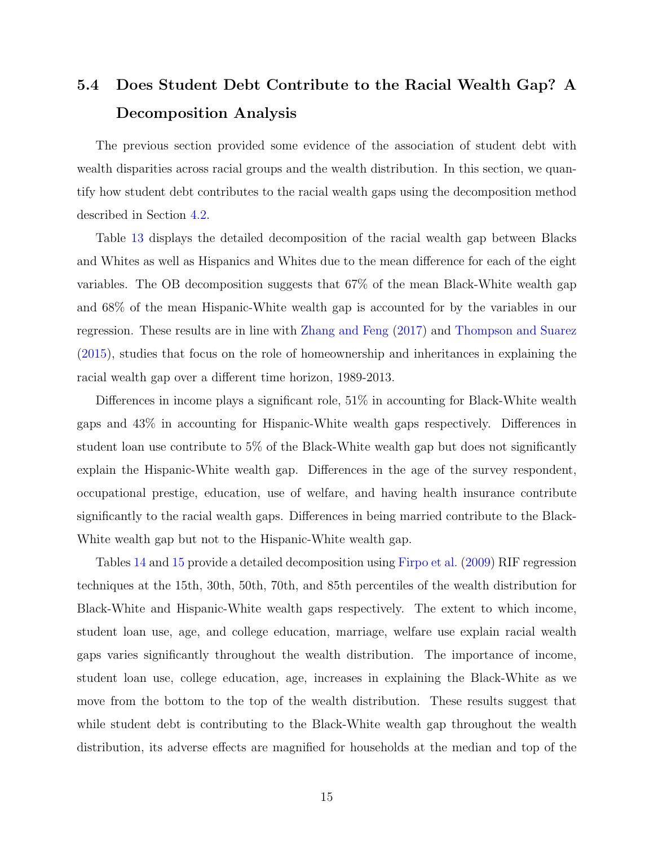## 5.4 Does Student Debt Contribute to the Racial Wealth Gap? A Decomposition Analysis

The previous section provided some evidence of the association of student debt with wealth disparities across racial groups and the wealth distribution. In this section, we quantify how student debt contributes to the racial wealth gaps using the decomposition method described in Section [4.2.](#page-8-0)

Table [13](#page-35-0) displays the detailed decomposition of the racial wealth gap between Blacks and Whites as well as Hispanics and Whites due to the mean difference for each of the eight variables. The OB decomposition suggests that 67% of the mean Black-White wealth gap and 68% of the mean Hispanic-White wealth gap is accounted for by the variables in our regression. These results are in line with [Zhang and Feng](#page-41-6) [\(2017\)](#page-41-6) and [Thompson and Suarez](#page-41-5) [\(2015\)](#page-41-5), studies that focus on the role of homeownership and inheritances in explaining the racial wealth gap over a different time horizon, 1989-2013.

Differences in income plays a significant role, 51% in accounting for Black-White wealth gaps and 43% in accounting for Hispanic-White wealth gaps respectively. Differences in student loan use contribute to 5% of the Black-White wealth gap but does not significantly explain the Hispanic-White wealth gap. Differences in the age of the survey respondent, occupational prestige, education, use of welfare, and having health insurance contribute significantly to the racial wealth gaps. Differences in being married contribute to the Black-White wealth gap but not to the Hispanic-White wealth gap.

Tables [14](#page-36-0) and [15](#page-37-0) provide a detailed decomposition using [Firpo et al.](#page-39-7) [\(2009\)](#page-39-7) RIF regression techniques at the 15th, 30th, 50th, 70th, and 85th percentiles of the wealth distribution for Black-White and Hispanic-White wealth gaps respectively. The extent to which income, student loan use, age, and college education, marriage, welfare use explain racial wealth gaps varies significantly throughout the wealth distribution. The importance of income, student loan use, college education, age, increases in explaining the Black-White as we move from the bottom to the top of the wealth distribution. These results suggest that while student debt is contributing to the Black-White wealth gap throughout the wealth distribution, its adverse effects are magnified for households at the median and top of the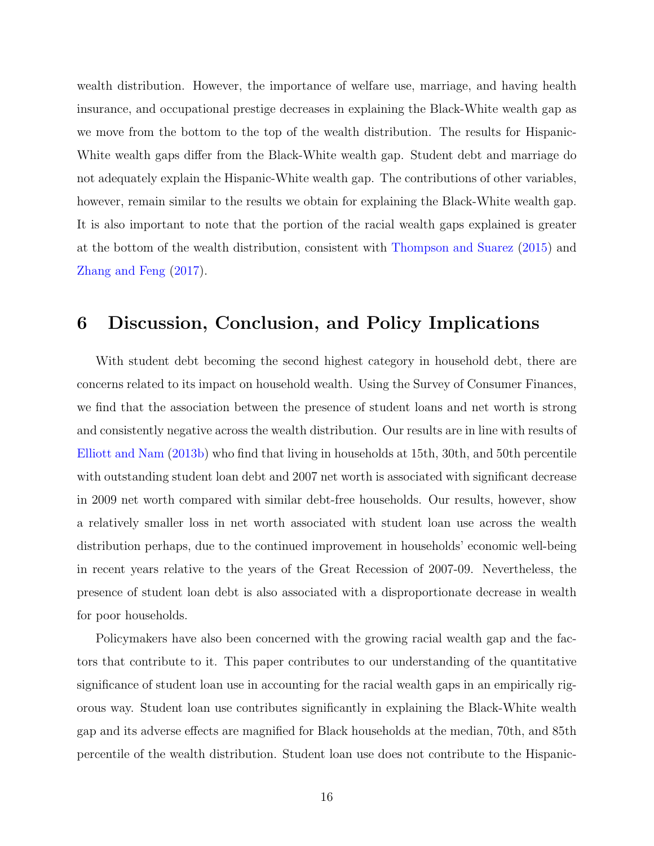wealth distribution. However, the importance of welfare use, marriage, and having health insurance, and occupational prestige decreases in explaining the Black-White wealth gap as we move from the bottom to the top of the wealth distribution. The results for Hispanic-White wealth gaps differ from the Black-White wealth gap. Student debt and marriage do not adequately explain the Hispanic-White wealth gap. The contributions of other variables, however, remain similar to the results we obtain for explaining the Black-White wealth gap. It is also important to note that the portion of the racial wealth gaps explained is greater at the bottom of the wealth distribution, consistent with [Thompson and Suarez](#page-41-5) [\(2015\)](#page-41-5) and [Zhang and Feng](#page-41-6) [\(2017\)](#page-41-6).

## <span id="page-16-0"></span>6 Discussion, Conclusion, and Policy Implications

With student debt becoming the second highest category in household debt, there are concerns related to its impact on household wealth. Using the Survey of Consumer Finances, we find that the association between the presence of student loans and net worth is strong and consistently negative across the wealth distribution. Our results are in line with results of [Elliott and Nam](#page-39-2) [\(2013b\)](#page-39-2) who find that living in households at 15th, 30th, and 50th percentile with outstanding student loan debt and 2007 net worth is associated with significant decrease in 2009 net worth compared with similar debt-free households. Our results, however, show a relatively smaller loss in net worth associated with student loan use across the wealth distribution perhaps, due to the continued improvement in households' economic well-being in recent years relative to the years of the Great Recession of 2007-09. Nevertheless, the presence of student loan debt is also associated with a disproportionate decrease in wealth for poor households.

Policymakers have also been concerned with the growing racial wealth gap and the factors that contribute to it. This paper contributes to our understanding of the quantitative significance of student loan use in accounting for the racial wealth gaps in an empirically rigorous way. Student loan use contributes significantly in explaining the Black-White wealth gap and its adverse effects are magnified for Black households at the median, 70th, and 85th percentile of the wealth distribution. Student loan use does not contribute to the Hispanic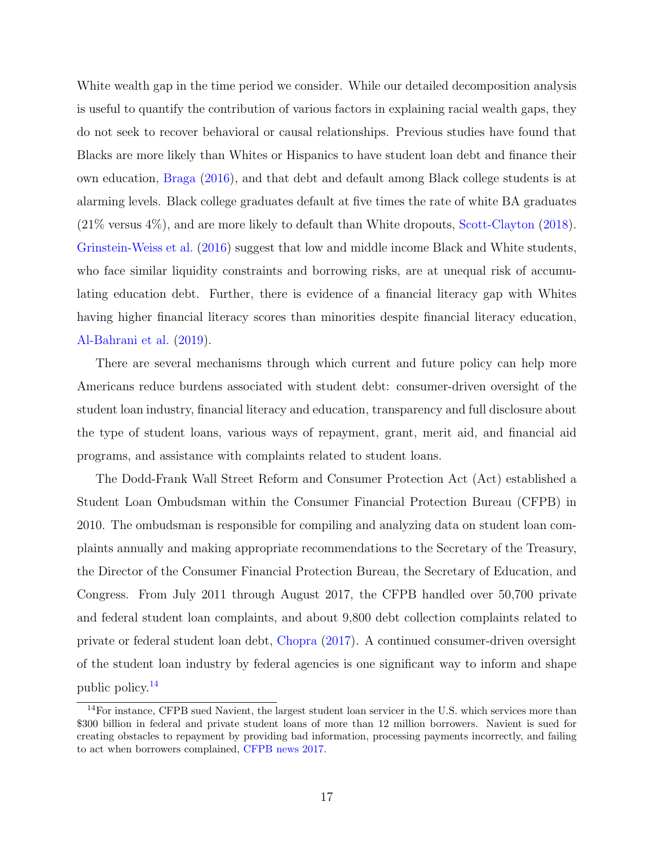White wealth gap in the time period we consider. While our detailed decomposition analysis is useful to quantify the contribution of various factors in explaining racial wealth gaps, they do not seek to recover behavioral or causal relationships. Previous studies have found that Blacks are more likely than Whites or Hispanics to have student loan debt and finance their own education, [Braga](#page-38-6) [\(2016\)](#page-38-6), and that debt and default among Black college students is at alarming levels. Black college graduates default at five times the rate of white BA graduates (21% versus 4%), and are more likely to default than White dropouts, [Scott-Clayton](#page-41-8) [\(2018\)](#page-41-8). [Grinstein-Weiss et al.](#page-39-9) [\(2016\)](#page-39-9) suggest that low and middle income Black and White students, who face similar liquidity constraints and borrowing risks, are at unequal risk of accumulating education debt. Further, there is evidence of a financial literacy gap with Whites having higher financial literacy scores than minorities despite financial literacy education, [Al-Bahrani et al.](#page-38-7) [\(2019\)](#page-38-7).

There are several mechanisms through which current and future policy can help more Americans reduce burdens associated with student debt: consumer-driven oversight of the student loan industry, financial literacy and education, transparency and full disclosure about the type of student loans, various ways of repayment, grant, merit aid, and financial aid programs, and assistance with complaints related to student loans.

The Dodd-Frank Wall Street Reform and Consumer Protection Act (Act) established a Student Loan Ombudsman within the Consumer Financial Protection Bureau (CFPB) in 2010. The ombudsman is responsible for compiling and analyzing data on student loan complaints annually and making appropriate recommendations to the Secretary of the Treasury, the Director of the Consumer Financial Protection Bureau, the Secretary of Education, and Congress. From July 2011 through August 2017, the CFPB handled over 50,700 private and federal student loan complaints, and about 9,800 debt collection complaints related to private or federal student loan debt, [Chopra](#page-38-8) [\(2017\)](#page-38-8). A continued consumer-driven oversight of the student loan industry by federal agencies is one significant way to inform and shape public policy.[14](#page-0-0)

<sup>14</sup>For instance, CFPB sued Navient, the largest student loan servicer in the U.S. which services more than \$300 billion in federal and private student loans of more than 12 million borrowers. Navient is sued for creating obstacles to repayment by providing bad information, processing payments incorrectly, and failing to act when borrowers complained, [CFPB news 2017.](https://www.consumerfinance.gov/about-us/newsroom/cfpb-sues-nations-largest-student-loan-company-navient-failing-borrowers-every-stage-repayment/)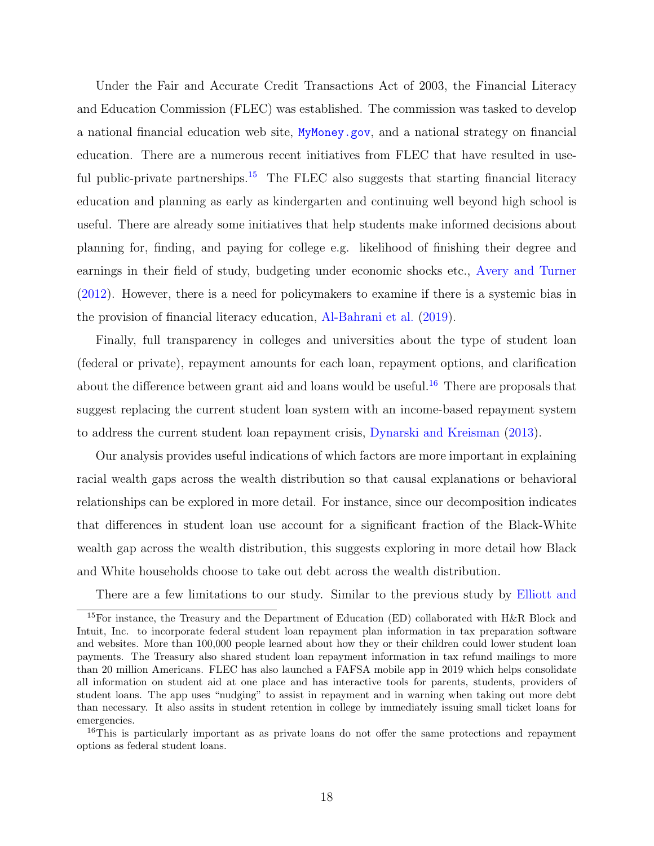Under the Fair and Accurate Credit Transactions Act of 2003, the Financial Literacy and Education Commission (FLEC) was established. The commission was tasked to develop a national financial education web site, <MyMoney.gov>, and a national strategy on financial education. There are a numerous recent initiatives from FLEC that have resulted in use-ful public-private partnerships.<sup>[15](#page-0-0)</sup> The FLEC also suggests that starting financial literacy education and planning as early as kindergarten and continuing well beyond high school is useful. There are already some initiatives that help students make informed decisions about planning for, finding, and paying for college e.g. likelihood of finishing their degree and earnings in their field of study, budgeting under economic shocks etc., [Avery and Turner](#page-38-9) [\(2012\)](#page-38-9). However, there is a need for policymakers to examine if there is a systemic bias in the provision of financial literacy education, [Al-Bahrani et al.](#page-38-7) [\(2019\)](#page-38-7).

Finally, full transparency in colleges and universities about the type of student loan (federal or private), repayment amounts for each loan, repayment options, and clarification about the difference between grant aid and loans would be useful.<sup>[16](#page-0-0)</sup> There are proposals that suggest replacing the current student loan system with an income-based repayment system to address the current student loan repayment crisis, [Dynarski and Kreisman](#page-39-10) [\(2013\)](#page-39-10).

Our analysis provides useful indications of which factors are more important in explaining racial wealth gaps across the wealth distribution so that causal explanations or behavioral relationships can be explored in more detail. For instance, since our decomposition indicates that differences in student loan use account for a significant fraction of the Black-White wealth gap across the wealth distribution, this suggests exploring in more detail how Black and White households choose to take out debt across the wealth distribution.

There are a few limitations to our study. Similar to the previous study by [Elliott and](#page-39-2)

<sup>15</sup>[For instance, the Treasury and the Department of Education \(ED\) collaborated with H&R Block and](#page-39-2) [Intuit, Inc. to incorporate federal student loan repayment plan information in tax preparation software](#page-39-2) [and websites. More than 100,000 people learned about how they or their children could lower student loan](#page-39-2) [payments. The Treasury also shared student loan repayment information in tax refund mailings to more](#page-39-2) [than 20 million Americans. FLEC has also launched a FAFSA mobile app in 2019 which helps consolidate](#page-39-2) [all information on student aid at one place and has interactive tools for parents, students, providers of](#page-39-2) [student loans. The app uses "nudging" to assist in repayment and in warning when taking out more debt](#page-39-2) [than necessary. It also assits in student retention in college by immediately issuing small ticket loans for](#page-39-2) [emergencies.](#page-39-2)

<sup>16</sup>[This is particularly important as as private loans do not offer the same protections and repayment](#page-39-2) [options as federal student loans.](#page-39-2)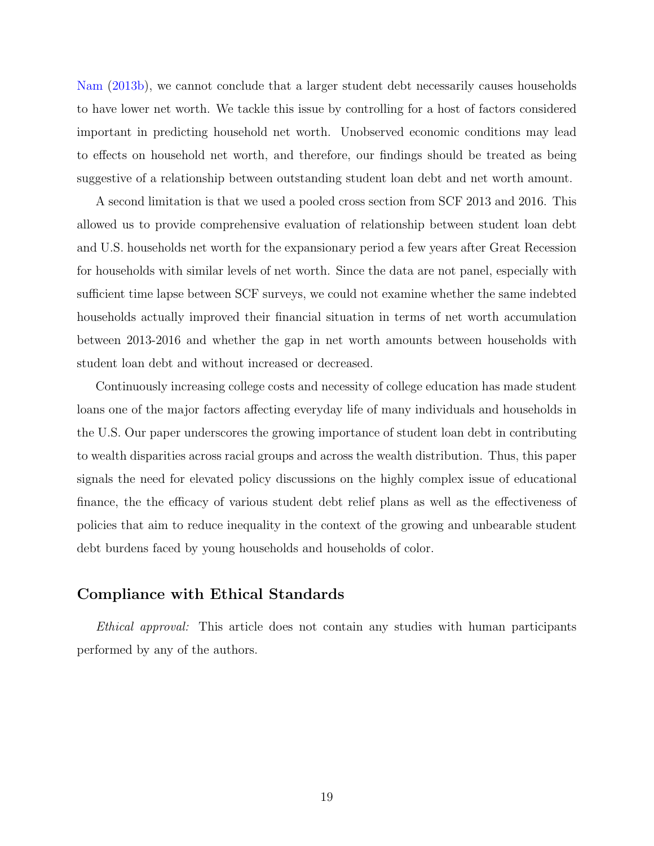[Nam](#page-39-2) [\(2013b\)](#page-39-2), we cannot conclude that a larger student debt necessarily causes households to have lower net worth. We tackle this issue by controlling for a host of factors considered important in predicting household net worth. Unobserved economic conditions may lead to effects on household net worth, and therefore, our findings should be treated as being suggestive of a relationship between outstanding student loan debt and net worth amount.

A second limitation is that we used a pooled cross section from SCF 2013 and 2016. This allowed us to provide comprehensive evaluation of relationship between student loan debt and U.S. households net worth for the expansionary period a few years after Great Recession for households with similar levels of net worth. Since the data are not panel, especially with sufficient time lapse between SCF surveys, we could not examine whether the same indebted households actually improved their financial situation in terms of net worth accumulation between 2013-2016 and whether the gap in net worth amounts between households with student loan debt and without increased or decreased.

Continuously increasing college costs and necessity of college education has made student loans one of the major factors affecting everyday life of many individuals and households in the U.S. Our paper underscores the growing importance of student loan debt in contributing to wealth disparities across racial groups and across the wealth distribution. Thus, this paper signals the need for elevated policy discussions on the highly complex issue of educational finance, the the efficacy of various student debt relief plans as well as the effectiveness of policies that aim to reduce inequality in the context of the growing and unbearable student debt burdens faced by young households and households of color.

#### Compliance with Ethical Standards

Ethical approval: This article does not contain any studies with human participants performed by any of the authors.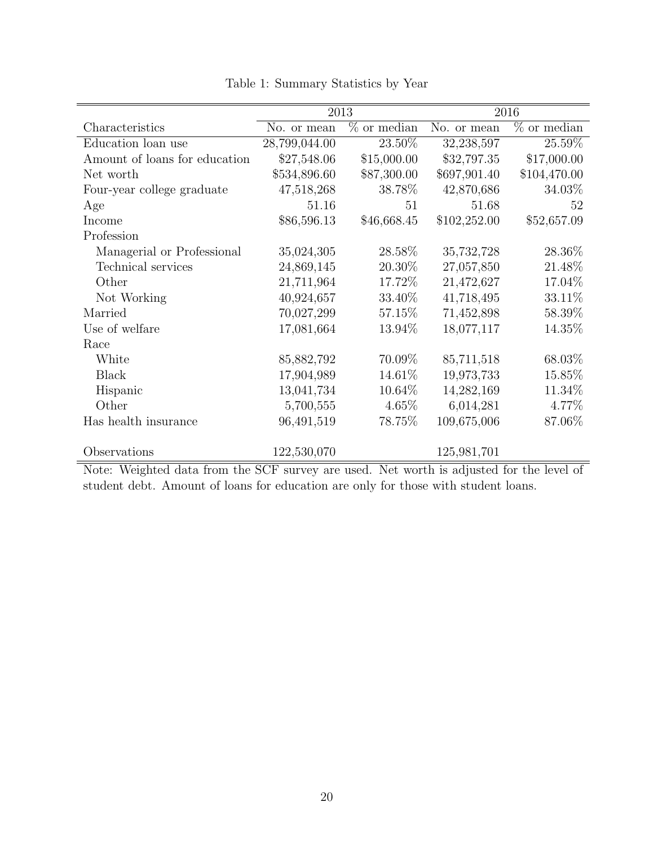<span id="page-20-0"></span>

|                               | 2013          |               |              | 2016          |  |
|-------------------------------|---------------|---------------|--------------|---------------|--|
| Characteristics               | No. or mean   | $%$ or median | No. or mean  | $%$ or median |  |
| Education loan use            | 28,799,044.00 | 23.50%        | 32,238,597   | 25.59%        |  |
| Amount of loans for education | \$27,548.06   | \$15,000.00   | \$32,797.35  | \$17,000.00   |  |
| Net worth                     | \$534,896.60  | \$87,300.00   | \$697,901.40 | \$104,470.00  |  |
| Four-year college graduate    | 47,518,268    | 38.78\%       | 42,870,686   | 34.03%        |  |
| Age                           | 51.16         | 51            | 51.68        | 52            |  |
| Income                        | \$86,596.13   | \$46,668.45   | \$102,252.00 | \$52,657.09   |  |
| Profession                    |               |               |              |               |  |
| Managerial or Professional    | 35,024,305    | 28.58\%       | 35,732,728   | 28.36\%       |  |
| Technical services            | 24,869,145    | 20.30%        | 27,057,850   | 21.48%        |  |
| Other                         | 21,711,964    | 17.72%        | 21,472,627   | 17.04%        |  |
| Not Working                   | 40,924,657    | 33.40%        | 41,718,495   | 33.11%        |  |
| Married                       | 70,027,299    | 57.15%        | 71,452,898   | 58.39%        |  |
| Use of welfare                | 17,081,664    | 13.94%        | 18,077,117   | 14.35\%       |  |
| Race                          |               |               |              |               |  |
| White                         | 85,882,792    | 70.09%        | 85,711,518   | 68.03%        |  |
| <b>Black</b>                  | 17,904,989    | 14.61\%       | 19,973,733   | 15.85%        |  |
| Hispanic                      | 13,041,734    | 10.64\%       | 14,282,169   | 11.34%        |  |
| Other                         | 5,700,555     | $4.65\%$      | 6,014,281    | 4.77%         |  |
| Has health insurance          | 96,491,519    | 78.75%        | 109,675,006  | 87.06%        |  |
|                               |               |               |              |               |  |
| Observations                  | 122,530,070   |               | 125,981,701  |               |  |

Table 1: Summary Statistics by Year

Note: Weighted data from the SCF survey are used. Net worth is adjusted for the level of student debt. Amount of loans for education are only for those with student loans.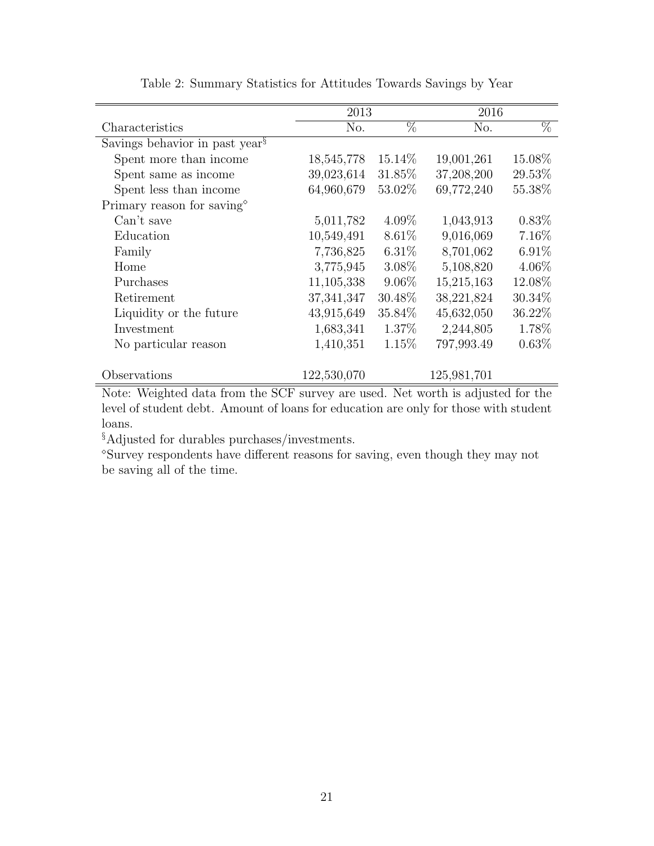<span id="page-21-0"></span>

|                                            |              | 2013     |             | 2016     |  |
|--------------------------------------------|--------------|----------|-------------|----------|--|
| Characteristics                            | No.          | $\%$     | No.         | $\%$     |  |
| Savings behavior in past year <sup>§</sup> |              |          |             |          |  |
| Spent more than income                     | 18,545,778   | 15.14\%  | 19,001,261  | 15.08%   |  |
| Spent same as income                       | 39,023,614   | 31.85%   | 37,208,200  | 29.53%   |  |
| Spent less than income                     | 64,960,679   | 53.02\%  | 69,772,240  | 55.38%   |  |
| Primary reason for saving <sup>®</sup>     |              |          |             |          |  |
| Can't save                                 | 5,011,782    | $4.09\%$ | 1,043,913   | $0.83\%$ |  |
| Education                                  | 10,549,491   | $8.61\%$ | 9,016,069   | $7.16\%$ |  |
| Family                                     | 7,736,825    | $6.31\%$ | 8,701,062   | $6.91\%$ |  |
| Home                                       | 3,775,945    | 3.08%    | 5,108,820   | $4.06\%$ |  |
| Purchases                                  | 11,105,338   | $9.06\%$ | 15,215,163  | 12.08%   |  |
| Retirement                                 | 37, 341, 347 | 30.48%   | 38,221,824  | 30.34%   |  |
| Liquidity or the future                    | 43,915,649   | 35.84\%  | 45,632,050  | 36.22%   |  |
| Investment                                 | 1,683,341    | 1.37%    | 2,244,805   | 1.78%    |  |
| No particular reason                       | 1,410,351    | 1.15%    | 797,993.49  | $0.63\%$ |  |
|                                            |              |          |             |          |  |
| Observations                               | 122,530,070  |          | 125,981,701 |          |  |

Table 2: Summary Statistics for Attitudes Towards Savings by Year

Note: Weighted data from the SCF survey are used. Net worth is adjusted for the level of student debt. Amount of loans for education are only for those with student loans.

§Adjusted for durables purchases/investments.

Survey respondents have different reasons for saving, even though they may not be saving all of the time.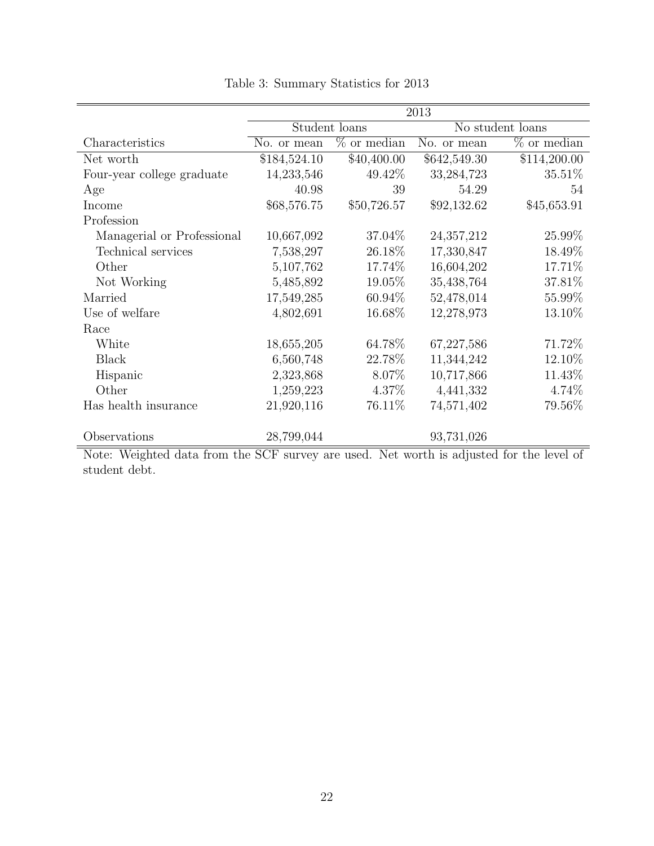<span id="page-22-0"></span>

|                            | 2013                           |               |                  |               |  |  |
|----------------------------|--------------------------------|---------------|------------------|---------------|--|--|
|                            |                                | Student loans | No student loans |               |  |  |
| Characteristics            | $\overline{\text{No}}$ or mean | $%$ or median | No. or mean      | $%$ or median |  |  |
| Net worth                  | \$184,524.10                   | \$40,400.00   | \$642,549.30     | \$114,200.00  |  |  |
| Four-year college graduate | 14,233,546                     | 49.42%        | 33, 284, 723     | 35.51%        |  |  |
| Age                        | 40.98                          | 39            | 54.29            | 54            |  |  |
| Income                     | \$68,576.75                    | \$50,726.57   | \$92,132.62      | \$45,653.91   |  |  |
| Profession                 |                                |               |                  |               |  |  |
| Managerial or Professional | 10,667,092                     | 37.04\%       | 24, 357, 212     | 25.99%        |  |  |
| Technical services         | 7,538,297                      | 26.18%        | 17,330,847       | 18.49%        |  |  |
| Other                      | 5,107,762                      | 17.74%        | 16,604,202       | 17.71%        |  |  |
| Not Working                | 5,485,892                      | 19.05%        | 35,438,764       | 37.81\%       |  |  |
| Married                    | 17,549,285                     | $60.94\%$     | 52,478,014       | 55.99%        |  |  |
| Use of welfare             | 4,802,691                      | 16.68%        | 12,278,973       | 13.10%        |  |  |
| Race                       |                                |               |                  |               |  |  |
| White                      | 18,655,205                     | 64.78%        | 67,227,586       | 71.72%        |  |  |
| <b>Black</b>               | 6,560,748                      | 22.78%        | 11,344,242       | 12.10%        |  |  |
| Hispanic                   | 2,323,868                      | 8.07\%        | 10,717,866       | 11.43\%       |  |  |
| Other                      | 1,259,223                      | 4.37%         | 4,441,332        | 4.74%         |  |  |
| Has health insurance       | 21,920,116                     | 76.11\%       | 74,571,402       | 79.56%        |  |  |
|                            |                                |               |                  |               |  |  |
| Observations               | 28,799,044                     |               | 93,731,026       |               |  |  |

#### Table 3: Summary Statistics for 2013

Note: Weighted data from the SCF survey are used. Net worth is adjusted for the level of student debt.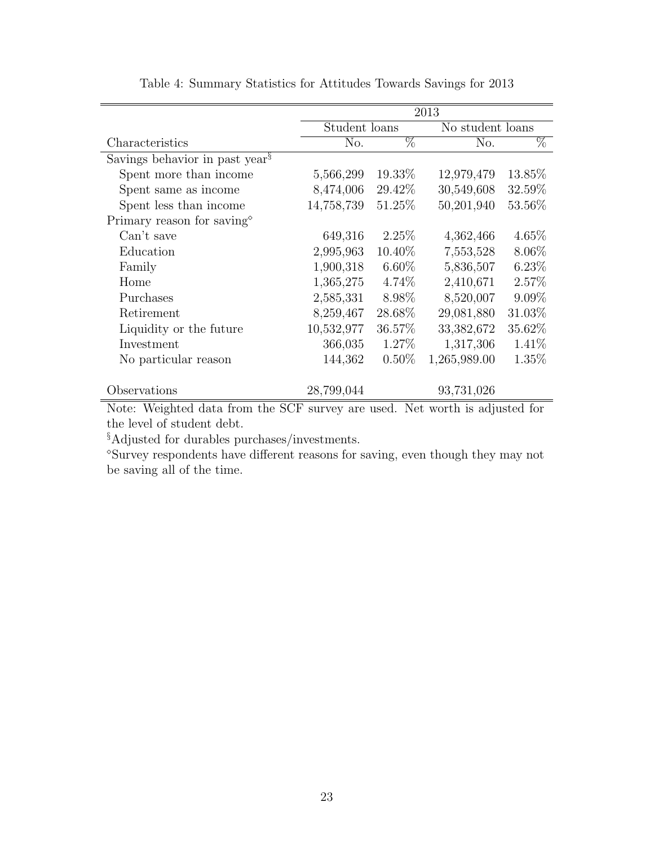<span id="page-23-0"></span>

|                                            | 2013          |          |                  |          |  |  |
|--------------------------------------------|---------------|----------|------------------|----------|--|--|
|                                            | Student loans |          | No student loans |          |  |  |
| Characteristics                            | No.           | $\%$     | No.              | $\%$     |  |  |
| Savings behavior in past year <sup>§</sup> |               |          |                  |          |  |  |
| Spent more than income                     | 5,566,299     | 19.33%   | 12,979,479       | 13.85%   |  |  |
| Spent same as income                       | 8,474,006     | 29.42%   | 30,549,608       | 32.59%   |  |  |
| Spent less than income                     | 14,758,739    | 51.25%   | 50,201,940       | 53.56%   |  |  |
| Primary reason for saving <sup>o</sup>     |               |          |                  |          |  |  |
| Can't save                                 | 649,316       | 2.25%    | 4,362,466        | 4.65%    |  |  |
| Education                                  | 2,995,963     | 10.40\%  | 7,553,528        | $8.06\%$ |  |  |
| Family                                     | 1,900,318     | $6.60\%$ | 5,836,507        | $6.23\%$ |  |  |
| Home                                       | 1,365,275     | 4.74\%   | 2,410,671        | $2.57\%$ |  |  |
| Purchases                                  | 2,585,331     | 8.98%    | 8,520,007        | $9.09\%$ |  |  |
| Retirement                                 | 8,259,467     | 28.68%   | 29,081,880       | 31.03%   |  |  |
| Liquidity or the future                    | 10,532,977    | 36.57%   | 33,382,672       | 35.62%   |  |  |
| Investment                                 | 366,035       | 1.27\%   | 1,317,306        | 1.41\%   |  |  |
| No particular reason                       | 144,362       | $0.50\%$ | 1,265,989.00     | $1.35\%$ |  |  |
|                                            |               |          |                  |          |  |  |
| Observations                               | 28,799,044    |          | 93,731,026       |          |  |  |

Table 4: Summary Statistics for Attitudes Towards Savings for 2013

Note: Weighted data from the SCF survey are used. Net worth is adjusted for the level of student debt.

§Adjusted for durables purchases/investments.

Survey respondents have different reasons for saving, even though they may not be saving all of the time.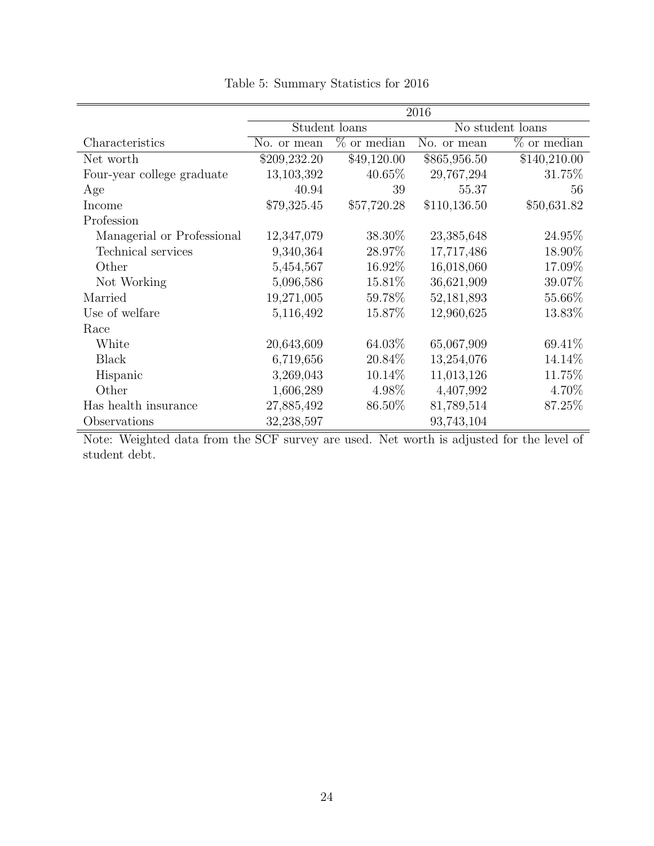<span id="page-24-0"></span>

|                            | 2016         |               |                  |               |  |  |  |
|----------------------------|--------------|---------------|------------------|---------------|--|--|--|
|                            |              | Student loans | No student loans |               |  |  |  |
| Characteristics            | No. or mean  | $%$ or median | No. or mean      | $%$ or median |  |  |  |
| Net worth                  | \$209,232.20 | \$49,120.00   | \$865,956.50     | \$140,210.00  |  |  |  |
| Four-year college graduate | 13,103,392   | 40.65%        | 29,767,294       | 31.75%        |  |  |  |
| Age                        | 40.94        | 39            | 55.37            | 56            |  |  |  |
| Income                     | \$79,325.45  | \$57,720.28   | \$110,136.50     | \$50,631.82   |  |  |  |
| Profession                 |              |               |                  |               |  |  |  |
| Managerial or Professional | 12,347,079   | 38.30%        | 23,385,648       | 24.95\%       |  |  |  |
| Technical services         | 9,340,364    | 28.97%        | 17,717,486       | 18.90%        |  |  |  |
| Other                      | 5,454,567    | 16.92\%       | 16,018,060       | 17.09%        |  |  |  |
| Not Working                | 5,096,586    | 15.81%        | 36,621,909       | 39.07%        |  |  |  |
| Married                    | 19,271,005   | 59.78%        | 52,181,893       | 55.66%        |  |  |  |
| Use of welfare             | 5,116,492    | 15.87%        | 12,960,625       | 13.83%        |  |  |  |
| Race                       |              |               |                  |               |  |  |  |
| White                      | 20,643,609   | 64.03%        | 65,067,909       | 69.41\%       |  |  |  |
| <b>Black</b>               | 6,719,656    | 20.84\%       | 13,254,076       | 14.14\%       |  |  |  |
| Hispanic                   | 3,269,043    | 10.14\%       | 11,013,126       | 11.75%        |  |  |  |
| Other                      | 1,606,289    | 4.98%         | 4,407,992        | 4.70%         |  |  |  |
| Has health insurance       | 27,885,492   | 86.50%        | 81,789,514       | 87.25\%       |  |  |  |
| Observations               | 32,238,597   |               | 93,743,104       |               |  |  |  |

### Table 5: Summary Statistics for 2016

Note: Weighted data from the SCF survey are used. Net worth is adjusted for the level of student debt.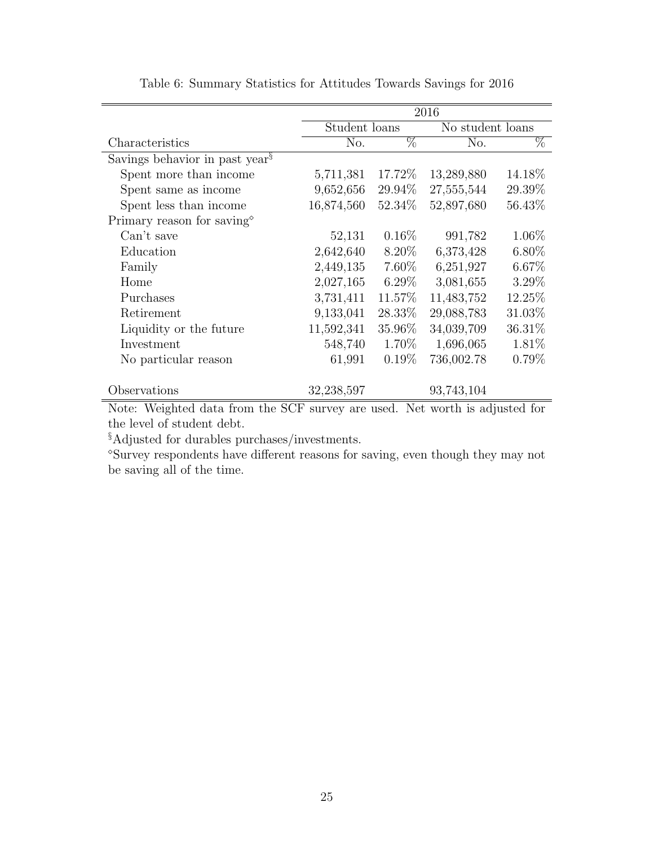<span id="page-25-0"></span>

|                                            | 2016             |          |                  |                 |  |
|--------------------------------------------|------------------|----------|------------------|-----------------|--|
|                                            | Student loans    |          | No student loans |                 |  |
| Characteristics                            | N <sub>o</sub> . | $\%$     | No.              | $\overline{\%}$ |  |
| Savings behavior in past year <sup>§</sup> |                  |          |                  |                 |  |
| Spent more than income                     | 5,711,381        | 17.72%   | 13,289,880       | 14.18%          |  |
| Spent same as income                       | 9,652,656        | 29.94%   | 27,555,544       | 29.39%          |  |
| Spent less than income                     | 16,874,560       | 52.34\%  | 52,897,680       | 56.43%          |  |
| Primary reason for saving <sup>®</sup>     |                  |          |                  |                 |  |
| Can't save                                 | 52,131           | $0.16\%$ | 991,782          | $1.06\%$        |  |
| Education                                  | 2,642,640        | 8.20\%   | 6,373,428        | $6.80\%$        |  |
| Family                                     | 2,449,135        | 7.60%    | 6,251,927        | 6.67%           |  |
| Home                                       | 2,027,165        | $6.29\%$ | 3,081,655        | 3.29%           |  |
| Purchases                                  | 3,731,411        | 11.57\%  | 11,483,752       | 12.25%          |  |
| Retirement                                 | 9,133,041        | 28.33%   | 29,088,783       | 31.03%          |  |
| Liquidity or the future                    | 11,592,341       | 35.96\%  | 34,039,709       | 36.31\%         |  |
| Investment                                 | 548,740          | $1.70\%$ | 1,696,065        | 1.81\%          |  |
| No particular reason                       | 61,991           | $0.19\%$ | 736,002.78       | $0.79\%$        |  |
| Observations                               | 32,238,597       |          | 93,743,104       |                 |  |

Table 6: Summary Statistics for Attitudes Towards Savings for 2016

Note: Weighted data from the SCF survey are used. Net worth is adjusted for the level of student debt.

 $^\S{\rm Adjusted}$  for durables purchases/investments.

Survey respondents have different reasons for saving, even though they may not be saving all of the time.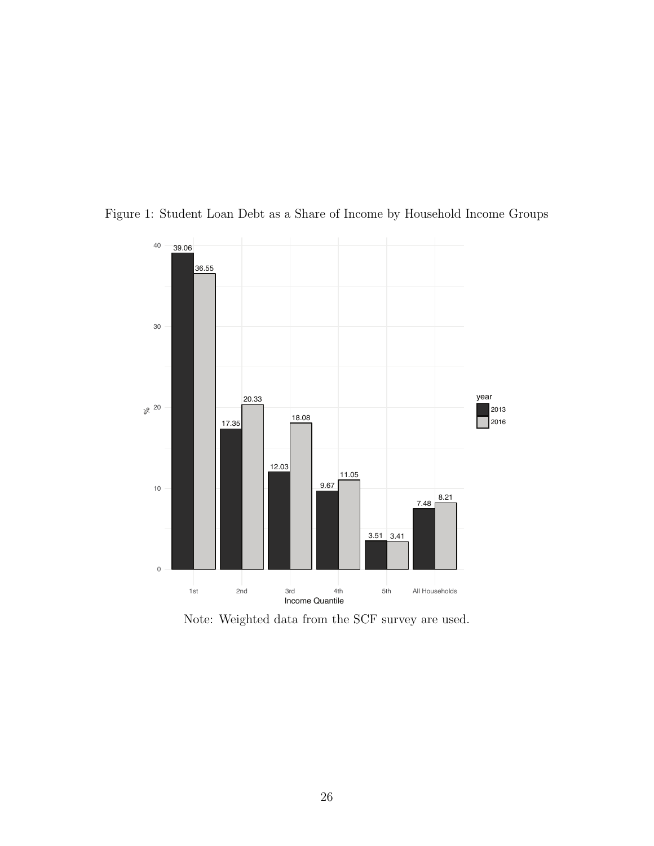

<span id="page-26-0"></span>Figure 1: Student Loan Debt as a Share of Income by Household Income Groups

Note: Weighted data from the SCF survey are used.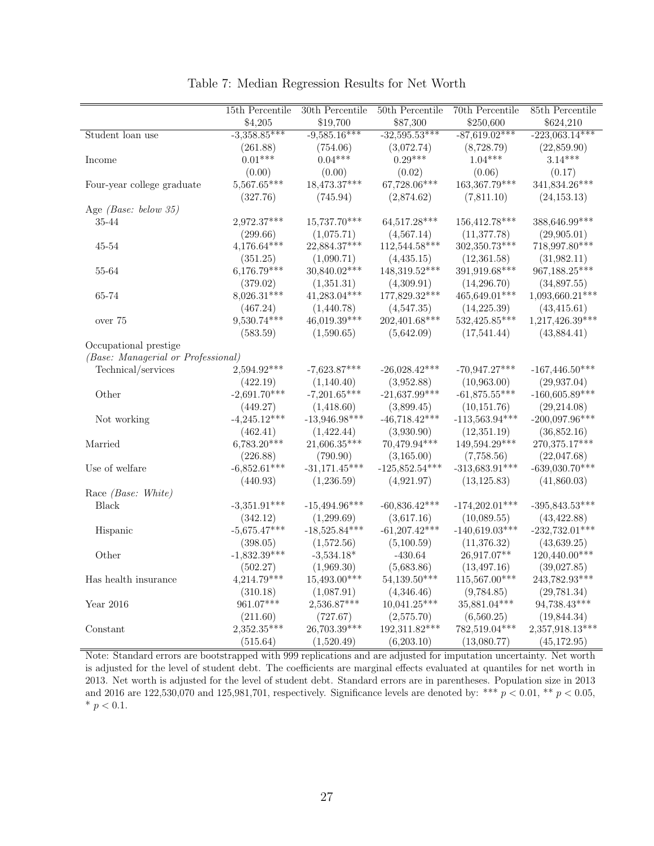<span id="page-27-0"></span>

|                                    | 15th Percentile           | 30th Percentile            | 50th Percentile             | 70th Percentile              | 85th Percentile               |
|------------------------------------|---------------------------|----------------------------|-----------------------------|------------------------------|-------------------------------|
|                                    | \$4,205<br>$-3,358.85***$ | \$19,700<br>$-9,585.16***$ | \$87,300<br>$-32,595.53***$ | \$250,600<br>$-87,619.02***$ | \$624,210<br>$-223,063.14***$ |
| Student loan use                   |                           |                            |                             |                              |                               |
|                                    | (261.88)                  | (754.06)                   | (3,072.74)                  | (8,728.79)                   | (22,859.90)                   |
| Income                             | $0.01***$                 | $0.04***$                  | $0.29***$                   | $1.04***$                    | $3.14***$                     |
|                                    | (0.00)                    | (0.00)                     | (0.02)                      | (0.06)                       | (0.17)                        |
| Four-year college graduate         | $5,567.65***$             | 18,473.37***               | 67,728.06***                | 163,367.79***                | 341,834.26***                 |
|                                    | (327.76)                  | (745.94)                   | (2,874.62)                  | (7,811.10)                   | (24, 153.13)                  |
| Age ( <i>Base: below 35</i> )      |                           |                            |                             |                              |                               |
| 35-44                              | 2,972.37***               | 15,737.70***               | 64,517.28***                | 156,412.78***                | 388,646.99***                 |
|                                    | (299.66)                  | (1,075.71)                 | (4,567.14)                  | (11, 377.78)                 | (29,905.01)                   |
| $45 - 54$                          | $4,176.64***$             | 22,884.37***               | 112,544.58***               | 302,350.73***                | 718,997.80***                 |
|                                    | (351.25)                  | (1,090.71)                 | (4,435.15)                  | (12,361.58)                  | (31,982.11)                   |
| 55-64                              | $6,176.79***$             | 30,840.02***               | 148,319.52***               | 391,919.68***                | 967,188.25***                 |
|                                    | (379.02)                  | (1,351.31)                 | (4,309.91)                  | (14,296.70)                  | (34,897.55)                   |
| 65-74                              | $8,026.31***$             | $41,283.04***$             | 177,829.32***               | 465,649.01***                | $1,093,660.21***$             |
|                                    | (467.24)                  | (1,440.78)                 | (4,547.35)                  | (14,225.39)                  | (43, 415.61)                  |
| over 75                            | $9,530.74***$             | 46,019.39***               | 202,401.68***               | 532,425.85***                | $1,217,426.39***$             |
|                                    | (583.59)                  | (1,590.65)                 | (5,642.09)                  | (17,541.44)                  | (43,884.41)                   |
| Occupational prestige              |                           |                            |                             |                              |                               |
| (Base: Managerial or Professional) |                           |                            |                             |                              |                               |
| Technical/services                 | $2,594.92***$             | $-7,623.87***$             | $-26,028.42***$             | $-70,947.27***$              | $-167,446.50***$              |
|                                    | (422.19)                  | (1,140.40)                 | (3,952.88)                  | (10,963.00)                  | (29, 937.04)                  |
| Other                              | $-2,691.70***$            | $-7,201.65***$             | $-21,637.99***$             | $-61,875.55***$              | $-160,605.89***$              |
|                                    | (449.27)                  | (1,418.60)                 | (3,899.45)                  | (10, 151.76)                 | (29, 214.08)                  |
| Not working                        | $-4,245.12***$            | $-13,946.98***$            | $-46,718.42***$             | $-113,563.94***$             | $-200,\!097.96^{***}$         |
|                                    | (462.41)                  | (1,422.44)                 | (3,930.90)                  | (12,351.19)                  | (36,852.16)                   |
| Married                            | $6,783.20***$             | 21,606.35***               | 70,479.94***                | 149,594.29***                | 270,375.17***                 |
|                                    | (226.88)                  | (790.90)                   | (3,165.00)                  | (7,758.56)                   | (22,047.68)                   |
| Use of welfare                     | $-6,852.61***$            | $-31,171.45***$            | $-125,852.54***$            | $-313,683.91***$             | $-639,030.70***$              |
|                                    | (440.93)                  | (1,236.59)                 | (4,921.97)                  | (13, 125.83)                 | (41,860.03)                   |
| Race (Base: White)                 |                           |                            |                             |                              |                               |
| Black                              | $-3,351.91***$            | $-15,494.96***$            | $-60,836.42***$             | $-174,202.01***$             | $-395,843.53***$              |
|                                    | (342.12)                  | (1,299.69)                 | (3,617.16)                  | (10.089.55)                  | (43, 422.88)                  |
| Hispanic                           | $-5,675.47***$            | $-18,525.84***$            | $-61,207.42***$             | $-140,619.03***$             | $-232,732.01***$              |
|                                    | (398.05)                  | (1,572.56)                 | (5,100.59)                  | (11, 376.32)                 | (43,639.25)                   |
| Other                              | $-1,832.39***$            | $-3,534.18*$               | $-430.64$                   | $26,917.07**$                | $120,\!440.00^{***}$          |
|                                    | (502.27)                  | (1,969.30)                 | (5,683.86)                  | (13, 497.16)                 | (39,027.85)                   |
| Has health insurance               | $4,214.79***$             | 15,493.00***               | 54,139.50***                | 115,567.00***                | 243,782.93***                 |
|                                    | (310.18)                  | (1,087.91)                 | (4,346.46)                  | (9,784.85)                   | (29, 781.34)                  |
| Year 2016                          | 961.07***                 | 2,536.87***                | $10,041.25***$              | 35,881.04***                 | 94,738.43***                  |
|                                    | (211.60)                  | (727.67)                   | (2,575.70)                  | (6,560.25)                   | (19,844.34)                   |
| Constant                           | $2,352.35***$             | 26,703.39***               | 192,311.82***               | 782,519.04***                | 2,357,918.13***               |
|                                    | (515.64)                  | (1,520.49)                 | (6,203.10)                  | (13,080.77)                  | (45, 172.95)                  |

Table 7: Median Regression Results for Net Worth

Note: Standard errors are bootstrapped with 999 replications and are adjusted for imputation uncertainty. Net worth is adjusted for the level of student debt. The coefficients are marginal effects evaluated at quantiles for net worth in 2013. Net worth is adjusted for the level of student debt. Standard errors are in parentheses. Population size in 2013 and 2016 are 122,530,070 and 125,981,701, respectively. Significance levels are denoted by: \*\*\*  $p < 0.01$ , \*\*  $p < 0.05$ ,  $*$   $p < 0.1$ .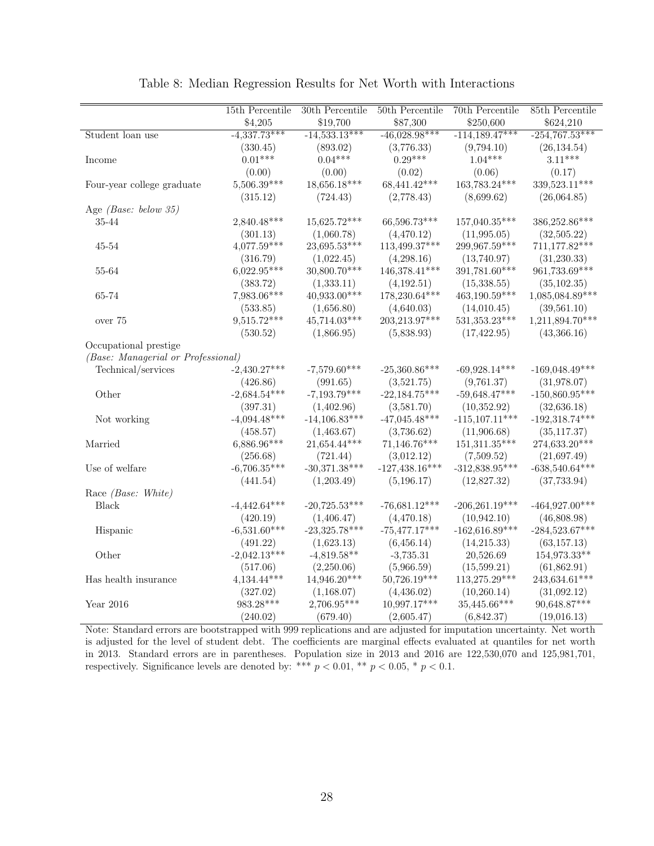<span id="page-28-0"></span>

|                                    | 15th Percentile | 30th Percentile | 50th Percentile  | 70th Percentile  | 85th Percentile   |
|------------------------------------|-----------------|-----------------|------------------|------------------|-------------------|
|                                    | \$4,205         | \$19,700        | \$87,300         | \$250,600        | \$624,210         |
| Student loan use                   | $-4,337.73***$  | $-14,533.13***$ | $-46,028.98***$  | $-114,189.47***$ | $-254,767.53***$  |
|                                    | (330.45)        | (893.02)        | (3,776.33)       | (9,794.10)       | (26, 134.54)      |
| Income                             | $0.01***$       | $0.04***$       | $0.29***$        | $1.04***$        | $3.11***$         |
|                                    | (0.00)          | (0.00)          | (0.02)           | (0.06)           | (0.17)            |
| Four-year college graduate         | $5,506.39***$   | 18,656.18***    | 68,441.42***     | 163,783.24***    | 339,523.11***     |
|                                    | (315.12)        | (724.43)        | (2,778.43)       | (8,699.62)       | (26,064.85)       |
| Age ( <i>Base: below 35</i> )      |                 |                 |                  |                  |                   |
| $35 - 44$                          | 2,840.48***     | 15,625.72***    | 66,596.73***     | 157,040.35***    | 386,252.86***     |
|                                    | (301.13)        | (1,060.78)      | (4,470.12)       | (11,995.05)      | (32,505.22)       |
| $45 - 54$                          | $4,077.59***$   | 23,695.53***    | 113,499.37***    | 299,967.59***    | 711,177.82***     |
|                                    | (316.79)        | (1,022.45)      | (4,298.16)       | (13,740.97)      | (31,230.33)       |
| $55 - 64$                          | $6.022.95***$   | 30,800.70***    | 146,378.41***    | 391,781.60***    | 961,733.69***     |
|                                    | (383.72)        | (1,333.11)      | (4, 192.51)      | (15,338.55)      | (35, 102.35)      |
| 65-74                              | 7,983.06***     | 40,933.00***    | 178,230.64***    | 463,190.59***    | $1,085,084.89***$ |
|                                    | (533.85)        | (1,656.80)      | (4,640.03)       | (14,010.45)      | (39,561.10)       |
| over 75                            | $9,515.72***$   | 45,714.03***    | 203,213.97***    | $531,353.23***$  | $1,211,894.70***$ |
|                                    | (530.52)        | (1,866.95)      | (5,838.93)       | (17, 422.95)     | (43,366.16)       |
| Occupational prestige              |                 |                 |                  |                  |                   |
| (Base: Managerial or Professional) |                 |                 |                  |                  |                   |
| Technical/services                 | $-2,430.27***$  | $-7,579.60***$  | $-25,360.86***$  | $-69,928.14***$  | $-169,048.49***$  |
|                                    | (426.86)        | (991.65)        | (3,521.75)       | (9,761.37)       | (31,978.07)       |
| Other                              | $-2,684.54***$  | $-7,193.79***$  | $-22,184.75***$  | $-59,648.47***$  | $-150,860.95***$  |
|                                    | (397.31)        | (1,402.96)      | (3,581.70)       | (10,352.92)      | (32,636.18)       |
| Not working                        | $-4,094.48***$  | $-14,106.83***$ | $-47,045.48***$  | $-115,107.11***$ | $-192,318.74***$  |
|                                    | (458.57)        | (1,463.67)      | (3,736.62)       | (11,906.68)      | (35, 117.37)      |
| Married                            | $6,886.96***$   | $21,654.44***$  | 71,146.76***     | 151,311.35***    | 274,633.20***     |
|                                    | (256.68)        | (721.44)        | (3,012.12)       | (7,509.52)       | (21, 697.49)      |
| Use of welfare                     | $-6,706.35***$  | $-30,371.38***$ | $-127,438.16***$ | $-312,838.95***$ | $-638,540.64***$  |
|                                    | (441.54)        | (1,203.49)      | (5, 196.17)      | (12,827.32)      | (37,733.94)       |
| Race (Base: White)                 |                 |                 |                  |                  |                   |
| <b>Black</b>                       | $-4,442.64***$  | $-20,725.53***$ | $-76,681.12***$  | $-206,261.19***$ | $-464,927.00***$  |
|                                    | (420.19)        | (1,406.47)      | (4,470.18)       | (10, 942.10)     | (46,808.98)       |
| Hispanic                           | $-6,531.60***$  | $-23,325.78***$ | $-75,477.17***$  | $-162,616.89***$ | $-284,523.67***$  |
|                                    | (491.22)        | (1,623.13)      | (6,456.14)       | (14,215.33)      | (63, 157.13)      |
| Other                              | $-2,042.13***$  | $-4,819.58**$   | $-3,735.31$      | 20,526.69        | 154,973.33**      |
|                                    | (517.06)        | (2,250.06)      | (5,966.59)       | (15,599.21)      | (61,862.91)       |
| Has health insurance               | $4,134.44***$   | 14,946.20***    | 50,726.19***     | 113,275.29***    | 243,634.61***     |
|                                    | (327.02)        | (1,168.07)      | (4,436.02)       | (10, 260.14)     | (31,092.12)       |
| Year $2016$                        | 983.28***       | 2,706.95***     | 10,997.17***     | 35,445.66***     | 90,648.87***      |
|                                    | (240.02)        | (679.40)        | (2,605.47)       | (6,842.37)       | (19,016.13)       |

Table 8: Median Regression Results for Net Worth with Interactions

Note: Standard errors are bootstrapped with 999 replications and are adjusted for imputation uncertainty. Net worth is adjusted for the level of student debt. The coefficients are marginal effects evaluated at quantiles for net worth in 2013. Standard errors are in parentheses. Population size in 2013 and 2016 are 122,530,070 and 125,981,701, respectively. Significance levels are denoted by: \*\*\*  $p < 0.01$ , \*\*  $p < 0.05$ , \*  $p < 0.1$ .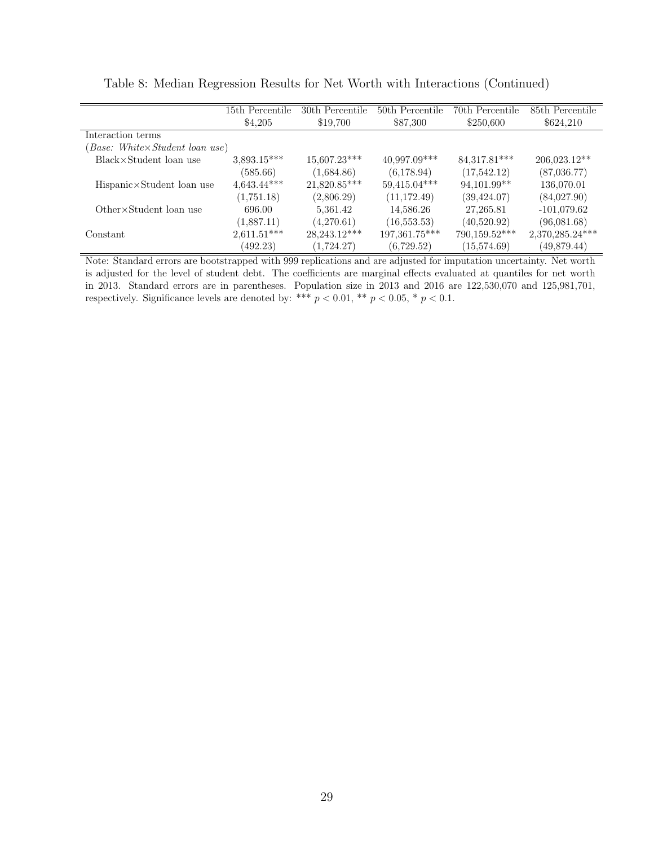|                                          | 15th Percentile | 30th Percentile | 50th Percentile | 70th Percentile | 85th Percentile |
|------------------------------------------|-----------------|-----------------|-----------------|-----------------|-----------------|
|                                          | \$4,205         | \$19,700        | \$87,300        | \$250,600       | \$624,210       |
| Interaction terms                        |                 |                 |                 |                 |                 |
| ( <i>Base: Whitex Student loan use</i> ) |                 |                 |                 |                 |                 |
| $Black \times Student$ loan use          | 3,893.15***     | 15,607.23***    | $40.997.09***$  | 84,317.81***    | $206,023.12**$  |
|                                          | (585.66)        | (1,684.86)      | (6,178.94)      | (17,542.12)     | (87,036.77)     |
| Hispanic×Student loan use                | $4,643.44***$   | 21,820.85***    | 59,415.04***    | $94,101.99**$   | 136,070.01      |
|                                          | (1,751.18)      | (2,806.29)      | (11, 172.49)    | (39, 424.07)    | (84,027.90)     |
| Other $\times$ Student loan use          | 696.00          | 5,361.42        | 14,586.26       | 27,265.81       | $-101,079.62$   |
|                                          | (1,887.11)      | (4,270.61)      | (16,553.53)     | (40,520.92)     | (96,081.68)     |
| Constant                                 | $2,611.51***$   | 28,243.12***    | 197,361.75***   | 790,159.52***   | 2,370,285.24*** |
|                                          | (492.23)        | (1,724.27)      | (6,729.52)      | (15,574.69)     | (49,879.44)     |

Table 8: Median Regression Results for Net Worth with Interactions (Continued)

Note: Standard errors are bootstrapped with 999 replications and are adjusted for imputation uncertainty. Net worth is adjusted for the level of student debt. The coefficients are marginal effects evaluated at quantiles for net worth in 2013. Standard errors are in parentheses. Population size in 2013 and 2016 are 122,530,070 and 125,981,701, respectively. Significance levels are denoted by: \*\*\*  $p < 0.01$ , \*\*  $p < 0.05$ , \*  $p < 0.1$ .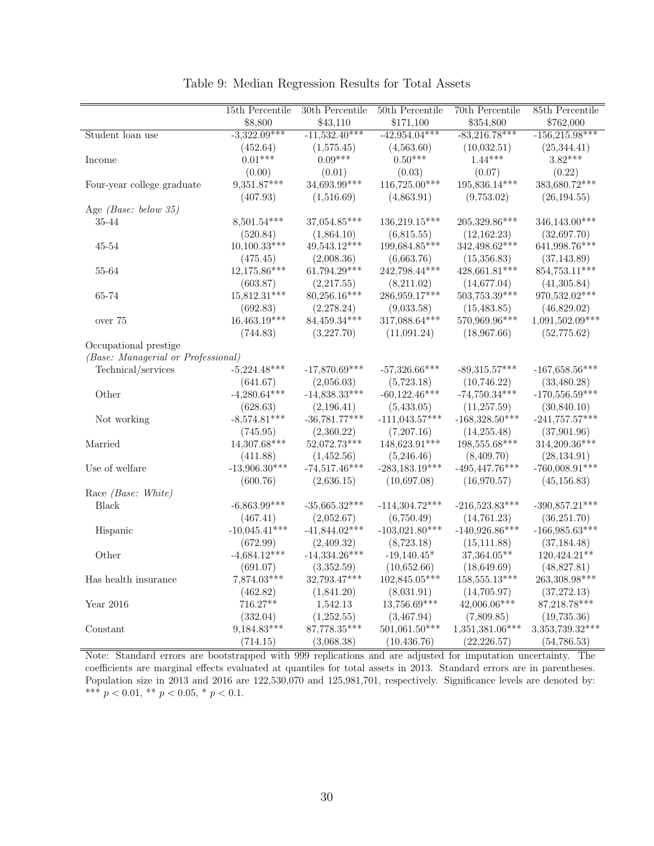<span id="page-30-0"></span>

|                                    | 15th Percentile           | 30th Percentile             | 50th Percentile              | 70th Percentile              | 85th Percentile               |
|------------------------------------|---------------------------|-----------------------------|------------------------------|------------------------------|-------------------------------|
| Student loan use                   | \$8,800<br>$-3,322.09***$ | \$43,110<br>$-11,532.40***$ | \$171,100<br>$-42,954.04***$ | \$354,800<br>$-83,216.78***$ | \$762,000<br>$-156,215.98***$ |
|                                    |                           |                             |                              |                              |                               |
|                                    | (452.64)                  | (1,575.45)                  | (4,563.60)                   | (10,032.51)                  | (25, 344.41)                  |
| Income                             | $0.01***$                 | $0.09***$                   | $0.50***$                    | $1.44***$                    | $3.82***$                     |
|                                    | (0.00)                    | (0.01)                      | (0.03)                       | (0.07)                       | (0.22)                        |
| Four-year college graduate         | $9,351.87***$             | 34,693.99***                | 116,725.00***                | 195,836.14***                | 383,680.72***                 |
|                                    | (407.93)                  | (1,516.69)                  | (4,863.91)                   | (9,753.02)                   | (26, 194.55)                  |
| Age ( <i>Base: below 35</i> )      |                           |                             |                              |                              |                               |
| 35-44                              | $8,501.54***$             | 37,054.85***                | 136,219.15***                | 205,329.86***                | 346,143.00***                 |
|                                    | (520.84)                  | (1,864.10)                  | (6,815.55)                   | (12, 162.23)                 | (32,697.70)                   |
| $45 - 54$                          | $10,100.33***$            | 49,543.12***                | 199,684.85***                | 342,498.62***                | 641,998.76***                 |
|                                    | (475.45)                  | (2,008.36)                  | (6,663.76)                   | (15,356.83)                  | (37, 143.89)                  |
| 55-64                              | $12,175.86***$            | 61,794.29***                | 242,798.44***                | 428,661.81***                | 854,753.11***                 |
|                                    | (603.87)                  | (2,217.55)                  | (8,211.02)                   | (14,677.04)                  | (41,305.84)                   |
| 65-74                              | $15,812.31***$            | 80,256.16***                | 286,959.17***                | 503,753.39***                | 970,532.02***                 |
|                                    | (692.83)                  | (2,278.24)                  | (9,033.58)                   | (15, 483.85)                 | (46,829.02)                   |
| over 75                            | $16,463.19***$            | 84,459.34***                | 317,088.64***                | 570,969.96***                | $1,091,502.09***$             |
|                                    | (744.83)                  | (3,227.70)                  | (11,091.24)                  | (18,967.66)                  | (52, 775.62)                  |
| Occupational prestige              |                           |                             |                              |                              |                               |
| (Base: Managerial or Professional) |                           |                             |                              |                              |                               |
| Technical/services                 | $-5,224.48***$            | $-17,870.69***$             | $-57,326.66***$              | $-89,315.57***$              | $-167,658.56***$              |
|                                    | (641.67)                  | (2,056.03)                  | (5,723.18)                   | (10,746.22)                  | (33, 480.28)                  |
| Other                              | $-4,280.64***$            | $-14,838.33***$             | $-60,122.46***$              | $-74,750.34***$              | $-170,556.59***$              |
|                                    | (628.63)                  | (2,196.41)                  | (5,433.05)                   | (11, 257.59)                 | (30, 840.10)                  |
| Not working                        | $-8,574.81***$            | $-36,781.77***$             | $-111,043.57***$             | $-168,328.50***$             | $-241,757.57***$              |
|                                    | (745.95)                  | (2,360.22)                  | (7,207.16)                   | (14, 255.48)                 | (37,901.96)                   |
| Married                            | 14,307.68***              | 52,072.73***                | 148,623.91***                | 198,555.68***                | 314,209.36***                 |
|                                    | (411.88)                  | (1,452.56)                  | (5,246.46)                   | (8,409.70)                   | (28, 134.91)                  |
| Use of welfare                     | $-13,906.30***$           | $-74,517.46***$             | $-283,183.19***$             | $-495,447.76***$             | $-760,008.91***$              |
|                                    | (600.76)                  | (2,636.15)                  | (10,697.08)                  | (16,970.57)                  | (45, 156.83)                  |
| Race (Base: White)                 |                           |                             |                              |                              |                               |
| <b>Black</b>                       | $-6.863.99***$            | $-35.665.32***$             | $-114,304.72***$             | $-216,523.83***$             | $-390,857.21***$              |
|                                    | (467.41)                  | (2,052.67)                  | (6,750.49)                   | (14, 761.23)                 | (36, 251.70)                  |
| Hispanic                           | $-10,045.41***$           | $-41,844.02***$             | $-103,021.80***$             | $-140,926.86***$             | $-166,985.63***$              |
|                                    | (672.99)                  | (2,409.32)                  | (8,723.18)                   | (15, 111.88)                 | (37, 184.48)                  |
| Other                              | $-4,684.12***$            | $-14,334.26***$             | $-19,140.45*$                | 37,364.05**                  | 120,424.21**                  |
|                                    | (691.07)                  | (3,352.59)                  | (10,652.66)                  | (18, 649.69)                 | (48,827.81)                   |
| Has health insurance               | 7,874.03***               | 32,793.47***                | 102,845.05***                | 158,555.13***                | 263,308.98***                 |
|                                    | (462.82)                  | (1,841.20)                  | (8,031.91)                   | (14,705.97)                  | (37,272.13)                   |
| Year 2016                          | 716.27**                  | 1,542.13                    | 13,756.69***                 | 42,006.06***                 | 87,218.78***                  |
|                                    | (332.04)                  | (1,252.55)                  | (3,467.94)                   | (7,809.85)                   | (19,735.36)                   |
| Constant                           | $9,184.83***$             | 87,778.35***                | $501,061.50***$              | 1,351,381.06***              | $3,353,739.32***$             |
|                                    | (714.15)                  | (3,068.38)                  | (10, 436.76)                 | (22, 226.57)                 | (54, 786.53)                  |

Table 9: Median Regression Results for Total Assets

Note: Standard errors are bootstrapped with 999 replications and are adjusted for imputation uncertainty. The coefficients are marginal effects evaluated at quantiles for total assets in 2013. Standard errors are in parentheses. Population size in 2013 and 2016 are 122,530,070 and 125,981,701, respectively. Significance levels are denoted by: \*\*\*  $p < 0.01$ , \*\*  $p < 0.05$ , \*  $p < 0.1$ .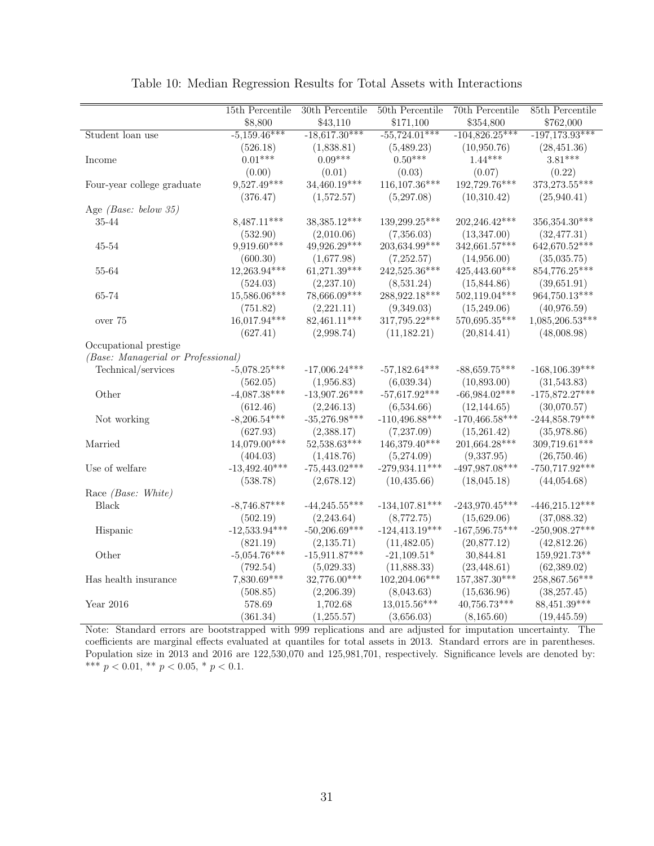<span id="page-31-0"></span>

|                                    | 15th Percentile | 30th Percentile | 50th Percentile  | 70th Percentile  | 85th Percentile   |
|------------------------------------|-----------------|-----------------|------------------|------------------|-------------------|
|                                    | \$8,800         | \$43,110        | \$171,100        | \$354,800        | \$762,000         |
| Student loan use                   | $-5,159.46***$  | $-18,617.30***$ | $-55,724.01***$  | $-104,826.25***$ | $-197,173.93***$  |
|                                    | (526.18)        | (1,838.81)      | (5,489.23)       | (10,950.76)      | (28, 451.36)      |
| Income                             | $0.01***$       | $0.09***$       | $0.50***$        | $1.44***$        | $3.81***$         |
|                                    | (0.00)          | (0.01)          | (0.03)           | (0.07)           | (0.22)            |
| Four-year college graduate         | $9,527.49***$   | 34,460.19***    | 116,107.36***    | 192,729.76***    | 373,273.55***     |
|                                    | (376.47)        | (1,572.57)      | (5,297.08)       | (10,310.42)      | (25,940.41)       |
| Age <i>(Base: below 35)</i>        |                 |                 |                  |                  |                   |
| $35 - 44$                          | 8,487.11***     | 38,385.12***    | 139,299.25***    | 202,246.42***    | 356,354.30***     |
|                                    | (532.90)        | (2,010.06)      | (7,356.03)       | (13,347.00)      | (32, 477.31)      |
| $45 - 54$                          | 9,919.60***     | 49,926.29***    | 203,634.99***    | 342,661.57***    | 642,670.52***     |
|                                    | (600.30)        | (1,677.98)      | (7,252.57)       | (14,956.00)      | (35,035.75)       |
| $55 - 64$                          | 12,263.94***    | 61,271.39***    | 242,525.36***    | 425,443.60***    | 854,776.25***     |
|                                    | (524.03)        | (2, 237.10)     | (8,531.24)       | (15,844.86)      | (39,651.91)       |
| 65-74                              | 15,586.06***    | 78,666.09***    | 288,922.18***    | 502,119.04***    | 964,750.13***     |
|                                    | (751.82)        | (2,221.11)      | (9,349.03)       | (15,249.06)      | (40, 976.59)      |
| over 75                            | 16,017.94***    | 82,461.11***    | 317,795.22***    | 570,695.35***    | $1,085,206.53***$ |
|                                    | (627.41)        | (2,998.74)      | (11, 182.21)     | (20, 814.41)     | (48,008.98)       |
| Occupational prestige              |                 |                 |                  |                  |                   |
| (Base: Managerial or Professional) |                 |                 |                  |                  |                   |
| Technical/services                 | $-5,078.25***$  | $-17,006.24***$ | $-57,182.64***$  | $-88,659.75***$  | $-168, 106.39***$ |
|                                    | (562.05)        | (1,956.83)      | (6,039.34)       | (10,893.00)      | (31,543.83)       |
| Other                              | $-4,087.38***$  | $-13,907.26***$ | $-57,617.92***$  | $-66,984.02***$  | $-175,872.27***$  |
|                                    | (612.46)        | (2,246.13)      | (6,534.66)       | (12, 144.65)     | (30,070.57)       |
| Not working                        | $-8,206.54***$  | $-35,276.98***$ | $-110,496.88***$ | $-170,466.58***$ | $-244,858.79***$  |
|                                    | (627.93)        | (2,388.17)      | (7,237.09)       | (15,261.42)      | (35,978.86)       |
| Married                            | 14,079.00***    | $52,538.63***$  | 146,379.40***    | 201,664.28***    | 309,719.61***     |
|                                    | (404.03)        | (1,418.76)      | (5,274.09)       | (9,337.95)       | (26,750.46)       |
| Use of welfare                     | $-13,492.40***$ | $-75,443.02***$ | $-279,934.11***$ | $-497,987.08***$ | $-750,717.92***$  |
|                                    | (538.78)        | (2,678.12)      | (10, 435.66)     | (18,045.18)      | (44,054.68)       |
| Race (Base: White)                 |                 |                 |                  |                  |                   |
| <b>Black</b>                       | $-8,746.87***$  | $-44,245.55***$ | $-134,107.81***$ | $-243,970.45***$ | $-446,215.12***$  |
|                                    | (502.19)        | (2,243.64)      | (8,772.75)       | (15,629.06)      | (37,088.32)       |
| Hispanic                           | $-12,533.94***$ | $-50,206.69***$ | $-124,413.19***$ | $-167,596.75***$ | $-250,908.27***$  |
|                                    | (821.19)        | (2, 135.71)     | (11, 482.05)     | (20, 877.12)     | (42,812.26)       |
| Other                              | $-5,054.76***$  | $-15,911.87***$ | $-21,109.51*$    | 30,844.81        | 159,921.73**      |
|                                    | (792.54)        | (5,029.33)      | (11,888.33)      | (23, 448.61)     | (62, 389.02)      |
| Has health insurance               | 7,830.69***     | 32,776.00***    | 102,204.06***    | 157,387.30***    | 258,867.56***     |
|                                    | (508.85)        | (2,206.39)      | (8,043.63)       | (15,636.96)      | (38, 257.45)      |
| Year $2016$                        | 578.69          | 1,702.68        | 13,015.56***     | 40,756.73***     | 88,451.39***      |
|                                    | (361.34)        | (1,255.57)      | (3,656.03)       | (8,165.60)       | (19, 445.59)      |

Table 10: Median Regression Results for Total Assets with Interactions

Note: Standard errors are bootstrapped with 999 replications and are adjusted for imputation uncertainty. The coefficients are marginal effects evaluated at quantiles for total assets in 2013. Standard errors are in parentheses. Population size in 2013 and 2016 are 122,530,070 and 125,981,701, respectively. Significance levels are denoted by: \*\*\*  $p < 0.01$ , \*\*  $p < 0.05$ , \*  $p < 0.1$ .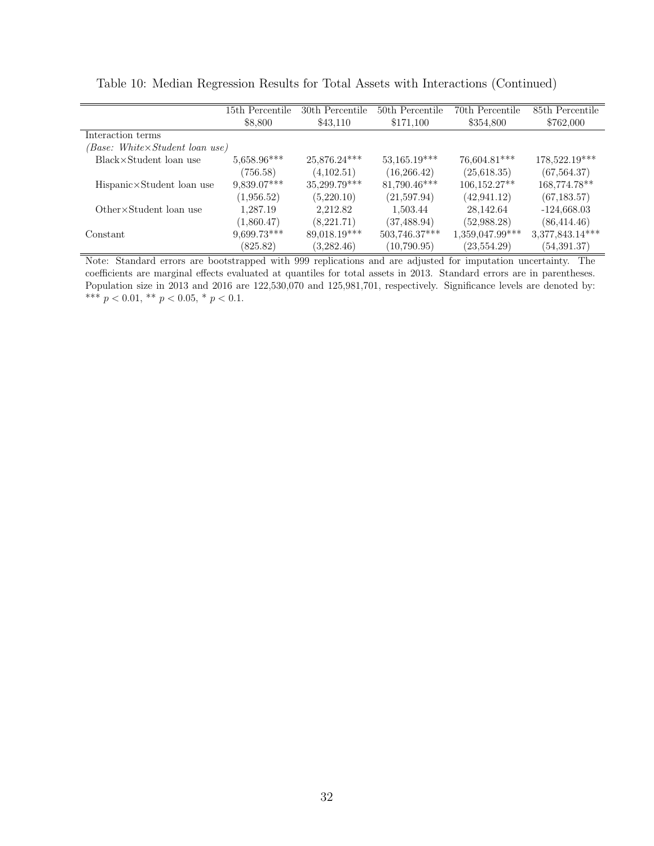| 15th Percentile                         | 30th Percentile | $50th$ Percentile | 70th Percentile   | 85th Percentile |
|-----------------------------------------|-----------------|-------------------|-------------------|-----------------|
| \$8,800                                 | \$43,110        | \$171,100         | \$354,800         | \$762,000       |
|                                         |                 |                   |                   |                 |
| (Base: White $\times$ Student loan use) |                 |                   |                   |                 |
| 5,658.96***                             | $25,876.24***$  | 53,165.19***      | 76,604.81***      | 178,522.19***   |
| (756.58)                                | (4,102.51)      | (16, 266.42)      | (25,618.35)       | (67, 564.37)    |
| $9,839.07***$                           | 35,299.79***    | 81,790.46***      | $106, 152.27**$   | 168,774.78**    |
| (1,956.52)                              | (5,220.10)      | (21,597.94)       | (42, 941.12)      | (67, 183.57)    |
| 1.287.19                                | 2.212.82        | 1.503.44          | 28,142.64         | $-124,668.03$   |
| (1,860.47)                              | (8,221.71)      | (37, 488.94)      | (52,988.28)       | (86, 414.46)    |
| $9,699.73***$                           | 89,018.19***    | 503,746.37***     | $1,359,047.99***$ | 3,377,843.14*** |
| (825.82)                                | (3,282.46)      | (10.790.95)       | (23,554.29)       | (54, 391.37)    |
|                                         |                 |                   |                   |                 |

Table 10: Median Regression Results for Total Assets with Interactions (Continued)

Note: Standard errors are bootstrapped with 999 replications and are adjusted for imputation uncertainty. The coefficients are marginal effects evaluated at quantiles for total assets in 2013. Standard errors are in parentheses. Population size in 2013 and 2016 are 122,530,070 and 125,981,701, respectively. Significance levels are denoted by: \*\*\*  $p < 0.01$ , \*\*  $p < 0.05$ , \*  $p < 0.1$ .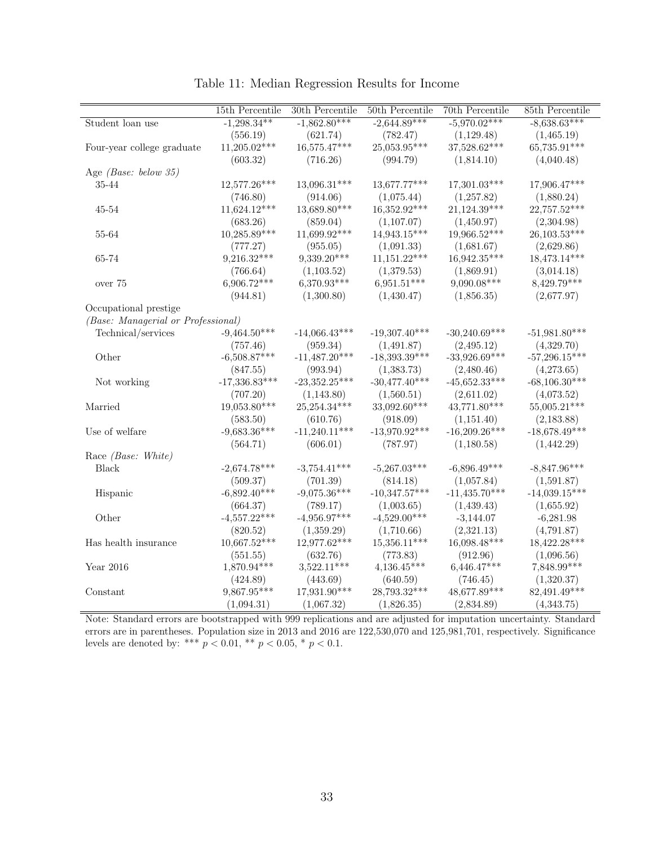<span id="page-33-0"></span>

|                                    | 15th Percentile | 30th Percentile | 50th Percentile | 70th Percentile | 85th Percentile |
|------------------------------------|-----------------|-----------------|-----------------|-----------------|-----------------|
| Student loan use                   | $-1,298.34***$  | $-1,862.80***$  | $-2,644.89***$  | $-5.970.02***$  | $-8,638.63***$  |
|                                    | (556.19)        | (621.74)        | (782.47)        | (1,129.48)      | (1,465.19)      |
| Four-year college graduate         | $11,205.02***$  | 16,575.47***    | 25,053.95***    | 37,528.62***    | 65,735.91***    |
|                                    | (603.32)        | (716.26)        | (994.79)        | (1,814.10)      | (4,040.48)      |
| Age ( <i>Base: below 35</i> )      |                 |                 |                 |                 |                 |
| 35-44                              | 12,577.26***    | 13,096.31***    | 13,677.77***    | 17,301.03***    | 17,906.47***    |
|                                    | (746.80)        | (914.06)        | (1,075.44)      | (1,257.82)      | (1,880.24)      |
| $45 - 54$                          | 11,624.12***    | $13,689.80***$  | 16,352.92***    | 21,124.39***    | 22,757.52***    |
|                                    | (683.26)        | (859.04)        | (1,107.07)      | (1,450.97)      | (2,304.98)      |
| 55-64                              | 10,285.89***    | 11,699.92***    | $14,943.15***$  | $19,966.52***$  | 26,103.53***    |
|                                    | (777.27)        | (955.05)        | (1,091.33)      | (1,681.67)      | (2,629.86)      |
| 65-74                              | $9,216.32***$   | $9,339.20***$   | 11,151.22***    | $16,942.35***$  | 18,473.14***    |
|                                    | (766.64)        | (1,103.52)      | (1,379.53)      | (1,869.91)      | (3,014.18)      |
| over $75\,$                        | $6,906.72***$   | $6,370.93***$   | $6,951.51***$   | $9,090.08***$   | 8,429.79***     |
|                                    | (944.81)        | (1,300.80)      | (1,430.47)      | (1,856.35)      | (2,677.97)      |
| Occupational prestige              |                 |                 |                 |                 |                 |
| (Base: Managerial or Professional) |                 |                 |                 |                 |                 |
| Technical/services                 | $-9,464.50***$  | $-14,066.43***$ | $-19,307.40***$ | $-30,240.69***$ | $-51,981.80***$ |
|                                    | (757.46)        | (959.34)        | (1,491.87)      | (2,495.12)      | (4,329.70)      |
| Other                              | $-6,508.87***$  | $-11,487.20***$ | $-18,393.39***$ | $-33,926.69***$ | $-57,296.15***$ |
|                                    | (847.55)        | (993.94)        | (1,383.73)      | (2,480.46)      | (4,273.65)      |
| Not working                        | $-17,336.83***$ | $-23,352.25***$ | $-30,477.40***$ | $-45,652.33***$ | $-68,106.30***$ |
|                                    | (707.20)        | (1,143.80)      | (1,560.51)      | (2,611.02)      | (4,073.52)      |
| Married                            | 19,053.80***    | 25,254.34***    | 33,092.60***    | 43,771.80***    | 55,005.21***    |
|                                    | (583.50)        | (610.76)        | (918.09)        | (1,151.40)      | (2,183.88)      |
| Use of welfare                     | $-9,683.36***$  | $-11,240.11***$ | $-13.970.92***$ | $-16,209.26***$ | $-18,678.49***$ |
|                                    | (564.71)        | (606.01)        | (787.97)        | (1,180.58)      | (1,442.29)      |
| Race (Base: White)                 |                 |                 |                 |                 |                 |
| <b>Black</b>                       | $-2,674.78***$  | $-3,754.41***$  | $-5,267.03***$  | $-6,896.49***$  | $-8,847.96***$  |
|                                    | (509.37)        | (701.39)        | (814.18)        | (1,057.84)      | (1,591.87)      |
| Hispanic                           | $-6,892.40***$  | $-9,075.36***$  | $-10,347.57***$ | $-11,435.70***$ | $-14,039.15***$ |
|                                    | (664.37)        | (789.17)        | (1,003.65)      | (1,439.43)      | (1,655.92)      |
| Other                              | $-4,557.22***$  | $-4,956.97***$  | $-4,529.00***$  | $-3,144.07$     | $-6,281.98$     |
|                                    | (820.52)        | (1,359.29)      | (1,710.66)      | (2,321.13)      | (4,791.87)      |
| Has health insurance               | $10,667.52***$  | 12,977.62***    | 15,356.11***    | 16,098.48***    | 18,422.28***    |
|                                    | (551.55)        | (632.76)        | (773.83)        | (912.96)        | (1,096.56)      |
| Year 2016                          | $1,870.94***$   | $3,522.11***$   | $4,136.45***$   | $6,446.47***$   | 7,848.99***     |
|                                    | (424.89)        | (443.69)        | (640.59)        | (746.45)        | (1,320.37)      |
| Constant                           | $9,867.95***$   | 17,931.90***    | 28,793.32***    | 48,677.89***    | 82,491.49***    |
|                                    | (1,094.31)      | (1,067.32)      | (1,826.35)      | (2,834.89)      | (4,343.75)      |

Table 11: Median Regression Results for Income

Note: Standard errors are bootstrapped with 999 replications and are adjusted for imputation uncertainty. Standard errors are in parentheses. Population size in 2013 and 2016 are 122,530,070 and 125,981,701, respectively. Significance levels are denoted by: \*\*\*  $p < 0.01$ , \*\*  $p < 0.05$ , \*  $p < 0.1$ .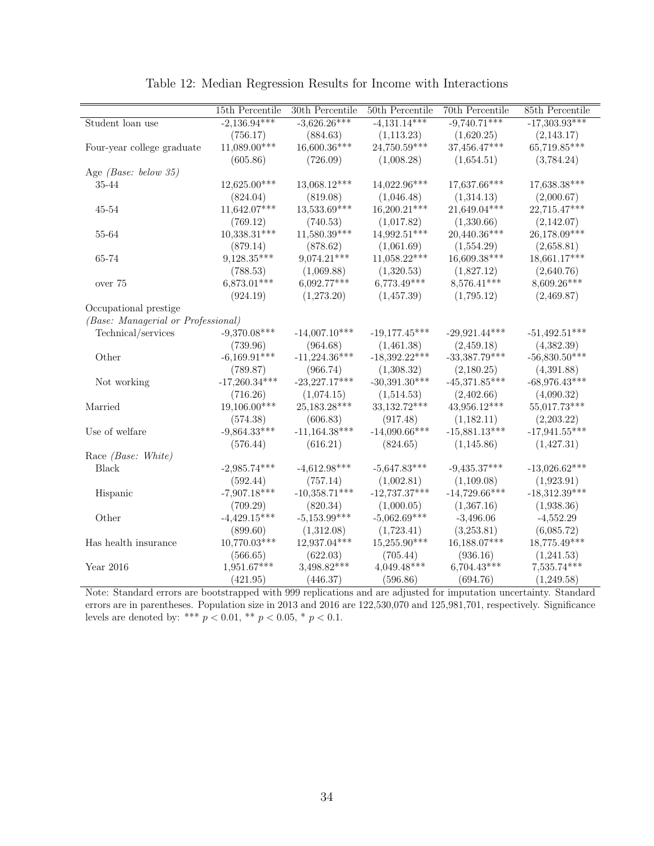<span id="page-34-0"></span>

|                                    | 15th Percentile | 30th Percentile | 50th Percentile | 70th Percentile | 85th Percentile |
|------------------------------------|-----------------|-----------------|-----------------|-----------------|-----------------|
| Student loan use                   | $-2,136.94***$  | $-3,626.26***$  | $-4,131.14***$  | $-9,740.71***$  | $-17,303.93***$ |
|                                    | (756.17)        | (884.63)        | (1,113.23)      | (1,620.25)      | (2,143.17)      |
| Four-year college graduate         | $11,089.00***$  | 16,600.36***    | 24,750.59***    | 37,456.47***    | 65,719.85***    |
|                                    | (605.86)        | (726.09)        | (1,008.28)      | (1,654.51)      | (3,784.24)      |
| Age ( <i>Base: below 35</i> )      |                 |                 |                 |                 |                 |
| 35-44                              | 12,625.00***    | 13,068.12***    | 14,022.96***    | 17,637.66***    | 17,638.38***    |
|                                    | (824.04)        | (819.08)        | (1,046.48)      | (1,314.13)      | (2,000.67)      |
| $45 - 54$                          | 11,642.07***    | 13,533.69***    | 16,200.21***    | 21,649.04***    | $22,715.47***$  |
|                                    | (769.12)        | (740.53)        | (1,017.82)      | (1,330.66)      | (2,142.07)      |
| 55-64                              | $10,338.31***$  | 11,580.39***    | 14,992.51***    | 20,440.36***    | 26,178.09***    |
|                                    | (879.14)        | (878.62)        | (1,061.69)      | (1,554.29)      | (2,658.81)      |
| 65-74                              | $9,128.35***$   | $9,074.21***$   | 11,058.22***    | $16,609.38***$  | 18,661.17***    |
|                                    | (788.53)        | (1,069.88)      | (1,320.53)      | (1,827.12)      | (2,640.76)      |
| over 75                            | $6,873.01***$   | $6,092.77***$   | $6,773.49***$   | $8,576.41***$   | 8,609.26***     |
|                                    | (924.19)        | (1,273.20)      | (1,457.39)      | (1,795.12)      | (2,469.87)      |
| Occupational prestige              |                 |                 |                 |                 |                 |
| (Base: Managerial or Professional) |                 |                 |                 |                 |                 |
| Technical/services                 | $-9,370.08***$  | $-14,007.10***$ | $-19,177.45***$ | $-29,921.44***$ | $-51,492.51***$ |
|                                    | (739.96)        | (964.68)        | (1,461.38)      | (2,459.18)      | (4,382.39)      |
| Other                              | $-6,169.91***$  | $-11,224.36***$ | $-18,392.22***$ | $-33,387.79***$ | $-56,830.50***$ |
|                                    | (789.87)        | (966.74)        | (1,308.32)      | (2,180.25)      | (4,391.88)      |
| Not working                        | $-17,260.34***$ | $-23,227.17***$ | $-30,391.30***$ | $-45,371.85***$ | $-68.976.43***$ |
|                                    | (716.26)        | (1,074.15)      | (1,514.53)      | (2,402.66)      | (4,090.32)      |
| Married                            | 19,106.00***    | 25,183.28***    | 33,132.72***    | 43,956.12***    | 55,017.73***    |
|                                    | (574.38)        | (606.83)        | (917.48)        | (1,182.11)      | (2,203.22)      |
| Use of welfare                     | $-9,864.33***$  | $-11,164.38***$ | $-14,090.66***$ | $-15,881.13***$ | $-17,941.55***$ |
|                                    | (576.44)        | (616.21)        | (824.65)        | (1,145.86)      | (1,427.31)      |
| Race (Base: White)                 |                 |                 |                 |                 |                 |
| Black                              | $-2,985.74***$  | $-4,612.98***$  | $-5,647.83***$  | $-9,435.37***$  | $-13,026.62***$ |
|                                    | (592.44)        | (757.14)        | (1,002.81)      | (1,109.08)      | (1,923.91)      |
| Hispanic                           | $-7.907.18***$  | $-10,358.71***$ | $-12,737.37***$ | $-14,729.66***$ | $-18,312.39***$ |
|                                    | (709.29)        | (820.34)        | (1,000.05)      | (1,367.16)      | (1,938.36)      |
| Other                              | $-4,429.15***$  | $-5,153.99***$  | $-5,062.69***$  | $-3,496.06$     | $-4,552.29$     |
|                                    | (899.60)        | (1,312.08)      | (1,723.41)      | (3,253.81)      | (6,085.72)      |
| Has health insurance               | 10,770.03***    | 12,937.04***    | 15,255.90***    | 16,188.07***    | 18,775.49***    |
|                                    | (566.65)        | (622.03)        | (705.44)        | (936.16)        | (1,241.53)      |
| Year $2016$                        | $1,951.67***$   | 3,498.82***     | $4,049.48***$   | $6,704.43***$   | 7,535.74***     |
|                                    | (421.95)        | (446.37)        | (596.86)        | (694.76)        | (1,249.58)      |

Table 12: Median Regression Results for Income with Interactions

Note: Standard errors are bootstrapped with 999 replications and are adjusted for imputation uncertainty. Standard errors are in parentheses. Population size in 2013 and 2016 are 122,530,070 and 125,981,701, respectively. Significance levels are denoted by: \*\*\*  $p < 0.01$ , \*\*  $p < 0.05$ , \*  $p < 0.1$ .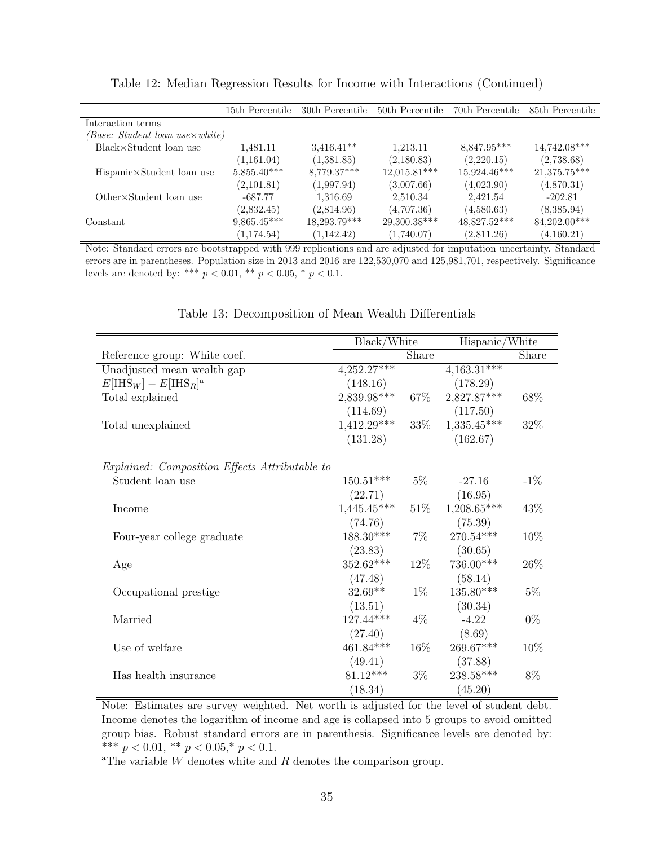|                                 | 15th Percentile | 30th Percentile | 50th Percentile | 70th Percentile | 85th Percentile |
|---------------------------------|-----------------|-----------------|-----------------|-----------------|-----------------|
| Interaction terms               |                 |                 |                 |                 |                 |
| (Base: Student loan use×white)  |                 |                 |                 |                 |                 |
| $Black \times Student$ loan use | 1,481.11        | $3,416.41**$    | 1,213.11        | $8,847.95***$   | $14,742.08***$  |
|                                 | (1,161.04)      | (1,381.85)      | (2,180.83)      | (2,220.15)      | (2,738.68)      |
| Hispanic×Student loan use       | $5,855.40***$   | 8,779.37***     | 12,015.81***    | $15,924.46***$  | 21,375.75***    |
|                                 | (2,101.81)      | (1,997.94)      | (3,007.66)      | (4,023.90)      | (4,870.31)      |
| Other $\times$ Student loan use | $-687.77$       | 1,316.69        | 2,510.34        | 2,421.54        | $-202.81$       |
|                                 | (2,832.45)      | (2,814.96)      | (4,707.36)      | (4,580.63)      | (8,385.94)      |
| Constant                        | $9,865.45***$   | 18,293.79***    | 29,300.38***    | 48,827.52***    | 84,202.00***    |
|                                 | (1,174.54)      | (1,142.42)      | (1,740.07)      | (2,811.26)      | (4,160.21)      |

Table 12: Median Regression Results for Income with Interactions (Continued)

Note: Standard errors are bootstrapped with 999 replications and are adjusted for imputation uncertainty. Standard errors are in parentheses. Population size in 2013 and 2016 are 122,530,070 and 125,981,701, respectively. Significance levels are denoted by: \*\*\*  $p < 0.01$ , \*\*  $p < 0.05$ , \*  $p < 0.1$ .

<span id="page-35-0"></span>

|                                                       | Black/White   |        | Hispanic/White                     |              |
|-------------------------------------------------------|---------------|--------|------------------------------------|--------------|
| Reference group: White coef.                          |               | Share  |                                    | <b>Share</b> |
| Unadjusted mean wealth gap                            | $4,252.27***$ |        | $4,163.31***$                      |              |
| $E[{\rm IHS}_W] - E[{\rm IHS}_R]^{\rm a}$             | (148.16)      |        | (178.29)                           |              |
| Total explained                                       | $2,839.98***$ |        | 67\% 2,827.87***                   | 68\%         |
|                                                       | (114.69)      |        | (117.50)                           |              |
| Total unexplained                                     |               |        | $1,412.29***$ $33\%$ $1,335.45***$ | 32%          |
|                                                       | (131.28)      |        | (162.67)                           |              |
| <i>Explained: Composition Effects Attributable to</i> |               |        |                                    |              |
| Student loan use                                      | $150.51***$   | $5\%$  | $-27.16$                           | $-1\%$       |
|                                                       | (22.71)       |        | (16.95)                            |              |
| Income                                                | $1,445.45***$ | $51\%$ | $1,208.65***$                      | 43%          |
|                                                       | (74.76)       |        | (75.39)                            |              |
| Four-year college graduate                            | $188.30***$   | $7\%$  | 270.54***                          | 10%          |
|                                                       | (23.83)       |        | (30.65)                            |              |
| Age                                                   | $352.62***$   | $12\%$ | 736.00***                          | 26\%         |
|                                                       | (47.48)       |        | (58.14)                            |              |
| Occupational prestige                                 | $32.69**$     | $1\%$  | $135.80***$                        | $5\%$        |
|                                                       | (13.51)       |        | (30.34)                            |              |
| Married                                               | $127.44***$   | $4\%$  | $-4.22$                            | $0\%$        |
|                                                       | (27.40)       |        | (8.69)                             |              |
| Use of welfare                                        | $461.84***$   | $16\%$ | 269.67***                          | 10%          |
|                                                       | (49.41)       |        | (37.88)                            |              |
| Has health insurance                                  | $81.12***$    | $3\%$  | 238.58***                          | 8%           |
|                                                       | (18.34)       |        | (45.20)                            |              |

Table 13: Decomposition of Mean Wealth Differentials

Note: Estimates are survey weighted. Net worth is adjusted for the level of student debt. Income denotes the logarithm of income and age is collapsed into 5 groups to avoid omitted group bias. Robust standard errors are in parenthesis. Significance levels are denoted by: \*\*\*  $p < 0.01$ , \*\*  $p < 0.05$ ,\*  $p < 0.1$ .

<sup>a</sup>The variable  $W$  denotes white and  $R$  denotes the comparison group.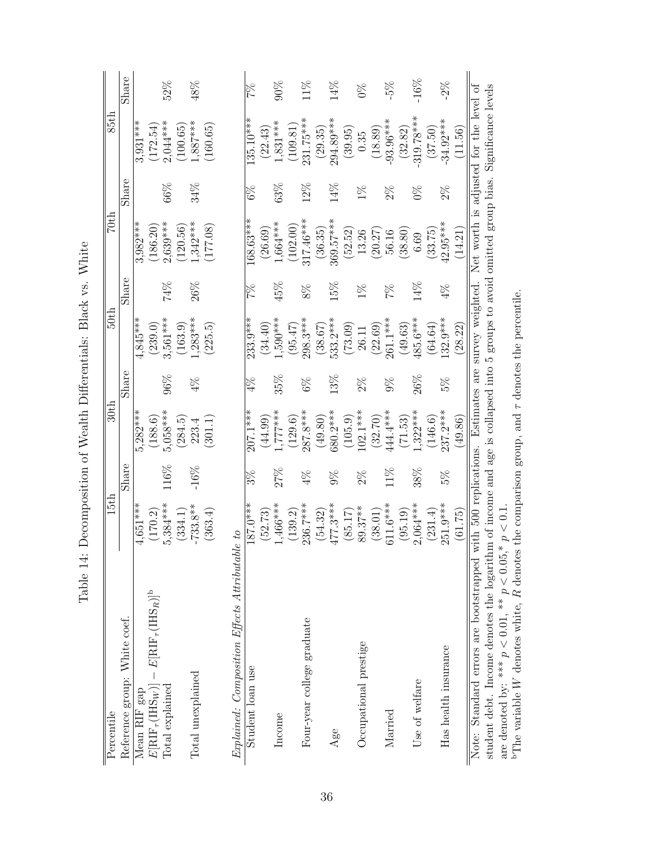<span id="page-36-0"></span>

| Percentile                                                                                                                                                                        | 15 <sub>th</sub> |        | 30th       |       | 50th       |                | 70th        |                  | 85th                                                                                         |                 |
|-----------------------------------------------------------------------------------------------------------------------------------------------------------------------------------|------------------|--------|------------|-------|------------|----------------|-------------|------------------|----------------------------------------------------------------------------------------------|-----------------|
| Reference group: White coef.                                                                                                                                                      |                  | Share  |            | Share |            | Share          |             | S <sub>har</sub> |                                                                                              | Share           |
| Mean RIF gap                                                                                                                                                                      | $4,651***$       |        | $5,282***$ |       | $4,845***$ |                | $3,982***$  |                  | $3,931***$                                                                                   |                 |
| $E[\mathrm{RIF}_{\tau}(\mathrm{IHS}_W)] - E[\mathrm{RIF}_{\tau}(\mathrm{IHS}_R)]^{\mathrm{b}}$                                                                                    | (170.2)          |        | (188.6)    |       | (239.0)    |                | (186.20)    |                  | (172.54)                                                                                     |                 |
| Total explained                                                                                                                                                                   | $5,384***$       | 116%   | 5,058***   | 96%   | $3,561***$ | 74%            | $2,639***$  | 66%              | $2,044***$                                                                                   | 52%             |
|                                                                                                                                                                                   | (334.1)          |        | (284.5)    |       | (163.9)    |                | (120.56)    |                  | (100.65)                                                                                     |                 |
| Total unexplained                                                                                                                                                                 | 733.8**          | $-16%$ | 223.4      | $4\%$ | $1,283***$ | 26%            | $1,342***$  | 34%              | .,887****                                                                                    | 48%             |
|                                                                                                                                                                                   | (363.4)          |        | (301.1)    |       | (225.5)    |                | 177.08      |                  | 160.65                                                                                       |                 |
| Explained: Composition Effects Attributabi                                                                                                                                        | le to            |        |            |       |            |                |             |                  |                                                                                              |                 |
| Student loan use                                                                                                                                                                  | $187.0***$       | $3\%$  | $207.1***$ | $4\%$ | $233.9***$ | $\frac{8}{26}$ | 168.63***   | $6\%$            | $135.10***$                                                                                  | $\frac{62}{20}$ |
|                                                                                                                                                                                   | (52.73)          |        | (44.99)    |       | (34.40)    |                | (26.69)     |                  | (22.43)                                                                                      |                 |
| Income                                                                                                                                                                            | ,466***          | 27%    | ****777.   | 35%   | $1,590***$ | 45%            | $1,664***$  | 63%              | $.831***$                                                                                    | 90%             |
|                                                                                                                                                                                   | (139.2)          |        | (129.6)    |       | (95.47)    |                | (102.00)    |                  | (109.81)                                                                                     |                 |
| Four-year college graduate                                                                                                                                                        | 236.7***         | $4\%$  | 287.8***   | $6\%$ | 298.3***   | $8\%$          | $317.46***$ | 12%              | 231.75***                                                                                    | 11%             |
|                                                                                                                                                                                   | (54.32)          |        | (49.80)    |       | (38.67)    |                | (36.35)     |                  | (29.35)                                                                                      |                 |
| Age                                                                                                                                                                               | $477.3***$       | $9\%$  | 680.2****  | 13%   | 533.2***   | 15%            | 369.57***   | 14%              | 294.89***                                                                                    | 14%             |
|                                                                                                                                                                                   | (85.17)          |        | (105.9)    |       | (73.09)    |                | (52.52)     |                  | (39.95)                                                                                      |                 |
| Occupational prestige                                                                                                                                                             | 89.37**          | $2\%$  | $02.1***$  | $2\%$ | 26.11      | $1\%$          | 13.26       | $1\%$            | 0.35                                                                                         | $0\%$           |
|                                                                                                                                                                                   | (38.01)          |        | (32.70)    |       | (22.69)    |                | (20.27)     |                  | (18.89)                                                                                      |                 |
| Married                                                                                                                                                                           | $611.6***$       | 11%    | 144.4***   | $9\%$ | $261.1***$ | $\%$           | 56.16       | $2\%$            | 93.96***                                                                                     | $26$ .          |
|                                                                                                                                                                                   | (95.19)          |        | (71.53)    |       | (49.63)    |                | (38.80)     |                  | (32.82)                                                                                      |                 |
| Use of welfare                                                                                                                                                                    | $2,064***$       | 38%    | $.322***$  | 26%   | 185.6***   | 14%            | 6.69        | $\frac{8}{2}$    | $319.78***$                                                                                  | $-16%$          |
|                                                                                                                                                                                   | (231.4)          |        | (146.6)    |       | (64.64)    |                | (33.75)     |                  | (37.50)                                                                                      |                 |
| Has health insurance                                                                                                                                                              | 251.9***         | 5%     | 237.2***   | 5%    | $32.9***$  | $4\%$          | 42.95***    | $2\%$            | $-34.92***$                                                                                  | $-2\%$          |
|                                                                                                                                                                                   | (61.75)          |        | (49.86)    |       | (28.22)    |                | (14.21)     |                  | (11.56)                                                                                      |                 |
| and ant dolt I pomo donotes the logarithm of income and age is collapsed into 5 groune to aroid oritted groun bise. Significance logale<br>Note: Standard errors are bootstrapped |                  |        |            |       |            |                |             |                  | with 500 replications. Estimates are survey weighted. Net worth is adjusted for the level of |                 |

Table 14: Decomposition of Wealth Differentials: Black vs. White Table 14: Decomposition of Wealth Differentials: Black vs. White student debt. Income denotes the logarithm of income and age is collapsed into 5 groups to avoid omitted group bias. Significance levels are denoted by: \*\*\*  $p < 0.01$ , \*\*  $p < 0.05$ ,\*  $p < 0.1$ .<br><sup>b</sup>The variable W denotes wh student debt. Income denotes the logarithm of income and age is collapsed into 5 groups to avoid omitted group bias. Significance levels <sup>b</sup>The variable W denotes white, R denotes the comparison group, and  $\tau$  denotes the percentile. are denoted by: \*\*\*  $p < 0.01$ , \*\*  $p < 0.05$ ,\*  $p < 0.1$ .

36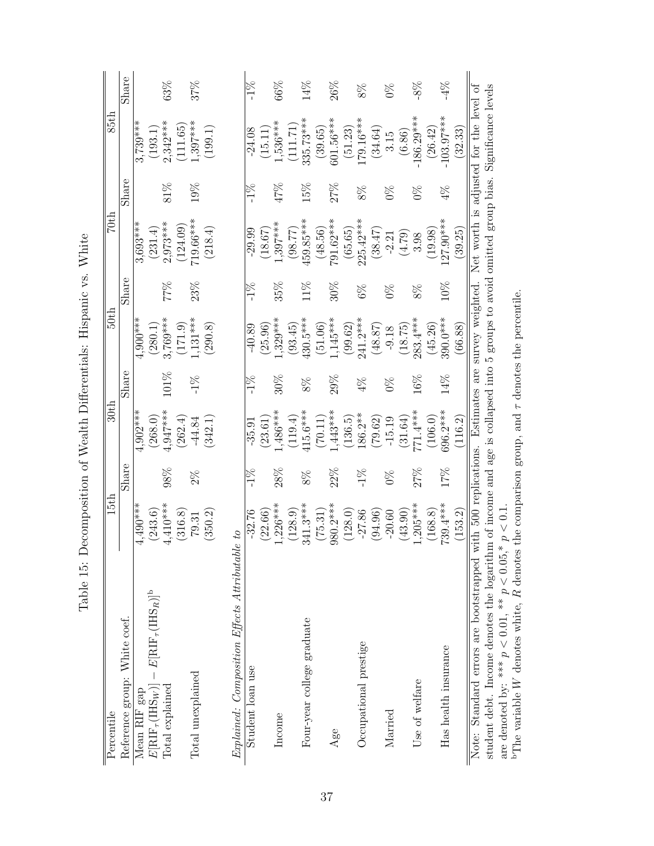| Percentile                                                                                                                                                                        | 15 <sub>th</sub>       |                | 30th       |        | 50th                           |        | 70th        |        | 85th                                   |        |
|-----------------------------------------------------------------------------------------------------------------------------------------------------------------------------------|------------------------|----------------|------------|--------|--------------------------------|--------|-------------|--------|----------------------------------------|--------|
| Reference group: White coef.                                                                                                                                                      |                        | Share          |            | Share  |                                | Share  |             | Share  |                                        | Share  |
| Mean RIF gap                                                                                                                                                                      | $4,490***$             |                | $4.902***$ |        | $4,900***$                     |        | $3,693***$  |        | $3,739***$                             |        |
| $E[\mathrm{RIF}_{\tau}(\mathrm{IHS}_W)] - E[\mathrm{RIF}_{\tau}(\mathrm{IHS}_R)]^{\mathrm{b}}$                                                                                    | (243.6)                |                | (268.0)    |        | (280.1)                        |        | (231.4)     |        | (193.1)                                |        |
| Total explained                                                                                                                                                                   | $4,410***$             | $98\%$         | 4,947***   | 101%   | $3,769***$                     | 77%    | $2,973***$  | 81%    | $2,342***$                             | 63%    |
|                                                                                                                                                                                   | (316.8)                |                | (262.4)    |        | (171.9)                        |        | (124.09)    |        | (111.65)                               |        |
| Total unexplained                                                                                                                                                                 | 79.31                  | $2\%$          | $-44.84$   | $-1\%$ | $1,131***$                     | 23%    | $719.66***$ | 19%    | $1,397***$                             | 37%    |
|                                                                                                                                                                                   | (350.2)                |                | (342.1)    |        | (290.8)                        |        | (218.4)     |        | (199.1)                                |        |
| Explained: Composition Effects Attributabl                                                                                                                                        | o p                    |                |            |        |                                |        |             |        |                                        |        |
| Student loan use                                                                                                                                                                  | $-32.76$               | $-1\%$         | $-35.91$   | $-1\%$ | $-40.89$                       | $-1\%$ | $-29.99$    | $-1\%$ | $-24.08$                               | $-1\%$ |
|                                                                                                                                                                                   | (22.66)                |                | (23.61)    |        | (25.96)                        |        | (18.67)     |        | (15.11)                                |        |
| Income                                                                                                                                                                            | $.226***$              | 28%            | $,486***$  | $30\%$ | $.329***$                      | 35%    | $.397***$   | 47%    | $.536***$                              | 66%    |
|                                                                                                                                                                                   | (128.9)                |                | (119.4)    |        | (93.45)                        |        | (98.77)     |        | (11.71)                                |        |
| Four-year college graduate                                                                                                                                                        | 341.3***               | 8%             | 415.6***   | 8%     | 430.5***                       | 11%    | 459.85****  | 15%    | 335.73***                              | 14%    |
|                                                                                                                                                                                   | (75.31)                |                | (70.11)    |        | (51.06)                        |        | (48.56)     |        | (39.65)                                |        |
| Age                                                                                                                                                                               | 980.2****              | 22%            | $,443***$  | 29%    | $1,145***$                     | $30\%$ | 791.62****  | 27%    | 601.56***                              | 26%    |
|                                                                                                                                                                                   | (128.0)                |                | (136.5)    |        | (99.62)                        |        | (65.65)     |        | (51.23)                                |        |
| Occupational prestige                                                                                                                                                             | $-27.86$               | $-1\%$         | $186.2**$  | $4\%$  | 241.2***                       | $6\%$  | $225.42***$ | $8\%$  | 179.16***                              | 8%     |
|                                                                                                                                                                                   | (94.96)                |                | (79.62)    |        | (48.87)                        |        | (38.47)     |        | (34.64)                                |        |
| Married                                                                                                                                                                           | $-20.60$               | $\frac{8}{20}$ | $-15.19$   | $0\%$  | $-9.18$                        | $0\%$  | $-2.21$     | $0\%$  | 3.15                                   | $0\%$  |
|                                                                                                                                                                                   | (43.90)                |                | (31.64)    |        | (18.75)                        |        | (4.79)      |        | (6.86)                                 |        |
| Use of welfare                                                                                                                                                                    | $,205***$              | 27%            | $771.4***$ | 16%    | 283.4***                       | 8%     | 3.98        | $\%$   | $-186.29***$                           | $8\%$  |
|                                                                                                                                                                                   | (168.8)                |                | (106.0)    |        | (45.26)                        |        | (19.98)     |        | (26.42)                                |        |
| Has health insurance                                                                                                                                                              | 739.4***               | 17%            | 396.2***   | 14%    | 390.0***                       | 10%    | $127.90***$ | $4\%$  | $-103.97***$                           | $-4\%$ |
|                                                                                                                                                                                   | (153.2)                |                | (116.2)    |        | (66.88)                        |        | (39.25)     |        | (32.33)                                |        |
| etudent debt Troome denotes the logarithm of income and age is collapsed into 5 groups to avoid omitted group bias. Significance levels<br>Note: Standard errors are bootstrapped | with 500 replications. |                |            |        | Estimates are survey weighted. |        |             |        | Net worth is adjusted for the level of |        |

<span id="page-37-0"></span>Table 15: Decomposition of Wealth Differentials: Hispanic vs. White Table 15: Decomposition of Wealth Differentials: Hispanic vs. White student debt. Income denotes the logarithm of income and age is collapsed into 5 groups to avoid omitted group bias. Significance levels are denoted by: \*\*\*  $p < 0.01$ , \*\*  $p < 0.05$ ,\*  $p < 0.1$ . bThe variable W denotes white, R $R$  denotes the comparison group, and denotes the percentile.

τ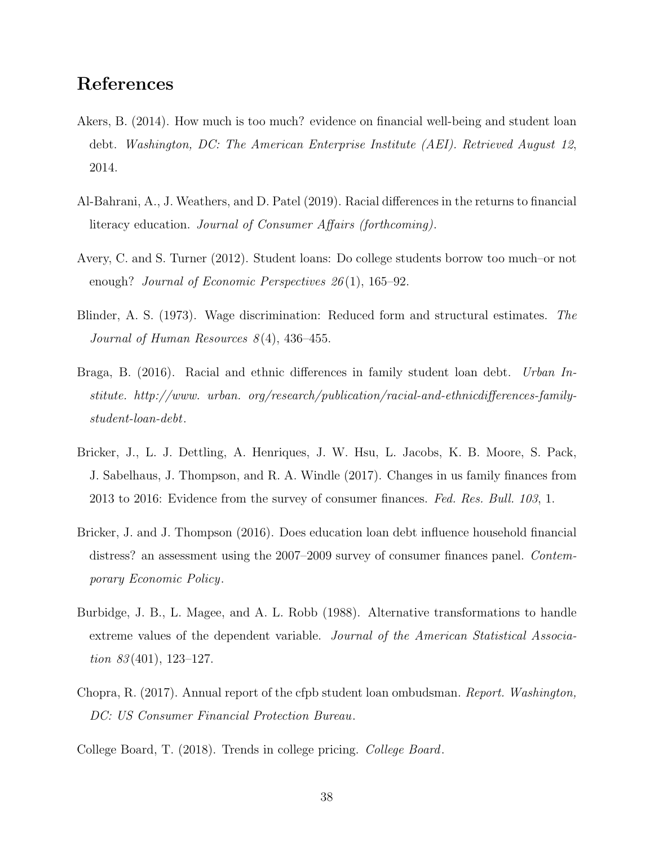## References

- <span id="page-38-3"></span>Akers, B. (2014). How much is too much? evidence on financial well-being and student loan debt. Washington, DC: The American Enterprise Institute (AEI). Retrieved August 12, 2014.
- <span id="page-38-7"></span>Al-Bahrani, A., J. Weathers, and D. Patel (2019). Racial differences in the returns to financial literacy education. Journal of Consumer Affairs (forthcoming).
- <span id="page-38-9"></span>Avery, C. and S. Turner (2012). Student loans: Do college students borrow too much–or not enough? *Journal of Economic Perspectives*  $26(1)$ , 165–92.
- <span id="page-38-5"></span>Blinder, A. S. (1973). Wage discrimination: Reduced form and structural estimates. The Journal of Human Resources 8(4), 436–455.
- <span id="page-38-6"></span>Braga, B. (2016). Racial and ethnic differences in family student loan debt. Urban Institute. http://www. urban. org/research/publication/racial-and-ethnicdifferences-familystudent-loan-debt.
- <span id="page-38-0"></span>Bricker, J., L. J. Dettling, A. Henriques, J. W. Hsu, L. Jacobs, K. B. Moore, S. Pack, J. Sabelhaus, J. Thompson, and R. A. Windle (2017). Changes in us family finances from 2013 to 2016: Evidence from the survey of consumer finances. Fed. Res. Bull. 103, 1.
- <span id="page-38-2"></span>Bricker, J. and J. Thompson (2016). Does education loan debt influence household financial distress? an assessment using the 2007–2009 survey of consumer finances panel. *Contem*porary Economic Policy.
- <span id="page-38-4"></span>Burbidge, J. B., L. Magee, and A. L. Robb (1988). Alternative transformations to handle extreme values of the dependent variable. *Journal of the American Statistical Associa*tion 83(401), 123-127.
- <span id="page-38-8"></span>Chopra, R. (2017). Annual report of the cfpb student loan ombudsman. Report. Washington, DC: US Consumer Financial Protection Bureau.
- <span id="page-38-1"></span>College Board, T. (2018). Trends in college pricing. College Board.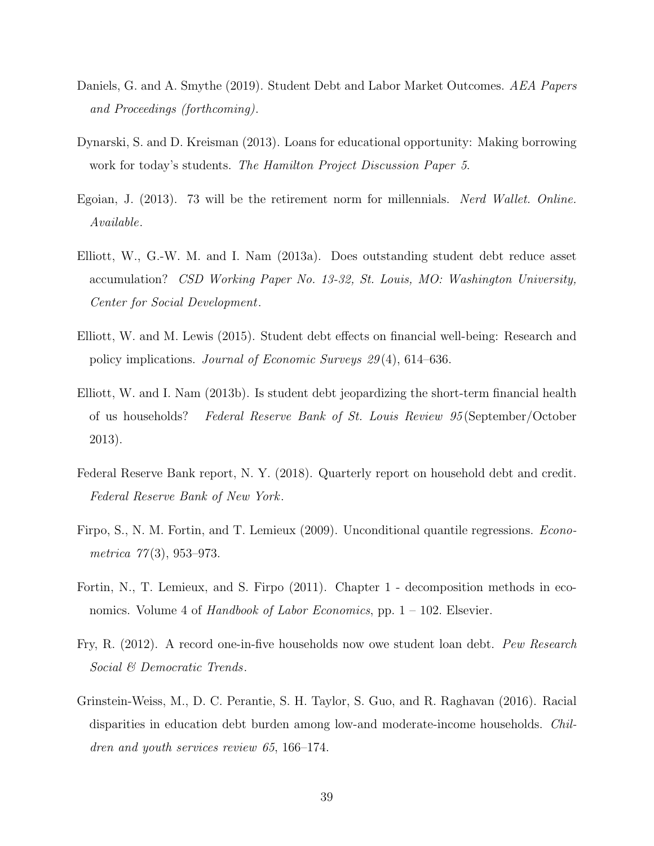- <span id="page-39-3"></span>Daniels, G. and A. Smythe (2019). Student Debt and Labor Market Outcomes. AEA Papers and Proceedings (forthcoming).
- <span id="page-39-10"></span>Dynarski, S. and D. Kreisman (2013). Loans for educational opportunity: Making borrowing work for today's students. The Hamilton Project Discussion Paper 5.
- <span id="page-39-4"></span>Egoian, J. (2013). 73 will be the retirement norm for millennials. Nerd Wallet. Online. Available.
- <span id="page-39-6"></span>Elliott, W., G.-W. M. and I. Nam (2013a). Does outstanding student debt reduce asset accumulation? CSD Working Paper No. 13-32, St. Louis, MO: Washington University, Center for Social Development.
- <span id="page-39-5"></span>Elliott, W. and M. Lewis (2015). Student debt effects on financial well-being: Research and policy implications. Journal of Economic Surveys 29 (4), 614–636.
- <span id="page-39-2"></span>Elliott, W. and I. Nam (2013b). Is student debt jeopardizing the short-term financial health of us households? Federal Reserve Bank of St. Louis Review 95 (September/October 2013).
- <span id="page-39-1"></span>Federal Reserve Bank report, N. Y. (2018). Quarterly report on household debt and credit. Federal Reserve Bank of New York.
- <span id="page-39-7"></span>Firpo, S., N. M. Fortin, and T. Lemieux (2009). Unconditional quantile regressions. Econometrica  $77(3)$ , 953–973.
- <span id="page-39-8"></span>Fortin, N., T. Lemieux, and S. Firpo (2011). Chapter 1 - decomposition methods in economics. Volume 4 of Handbook of Labor Economics, pp.  $1 - 102$ . Elsevier.
- <span id="page-39-0"></span>Fry, R. (2012). A record one-in-five households now owe student loan debt. Pew Research Social & Democratic Trends.
- <span id="page-39-9"></span>Grinstein-Weiss, M., D. C. Perantie, S. H. Taylor, S. Guo, and R. Raghavan (2016). Racial disparities in education debt burden among low-and moderate-income households. Children and youth services review 65, 166–174.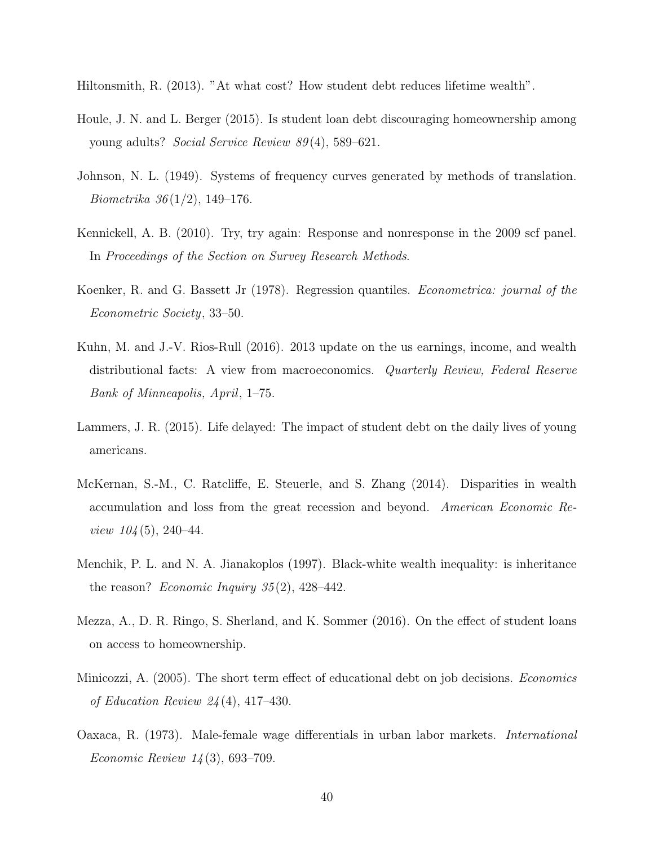<span id="page-40-2"></span>Hiltonsmith, R. (2013). "At what cost? How student debt reduces lifetime wealth".

- <span id="page-40-3"></span>Houle, J. N. and L. Berger (2015). Is student loan debt discouraging homeownership among young adults? Social Service Review 89 (4), 589–621.
- <span id="page-40-9"></span>Johnson, N. L. (1949). Systems of frequency curves generated by methods of translation. *Biometrika*  $36(1/2)$ , 149–176.
- <span id="page-40-7"></span>Kennickell, A. B. (2010). Try, try again: Response and nonresponse in the 2009 scf panel. In Proceedings of the Section on Survey Research Methods.
- <span id="page-40-10"></span>Koenker, R. and G. Bassett Jr (1978). Regression quantiles. Econometrica: journal of the Econometric Society, 33–50.
- <span id="page-40-8"></span>Kuhn, M. and J.-V. Rios-Rull (2016). 2013 update on the us earnings, income, and wealth distributional facts: A view from macroeconomics. Quarterly Review, Federal Reserve Bank of Minneapolis, April, 1–75.
- <span id="page-40-4"></span>Lammers, J. R. (2015). Life delayed: The impact of student debt on the daily lives of young americans.
- <span id="page-40-6"></span>McKernan, S.-M., C. Ratcliffe, E. Steuerle, and S. Zhang (2014). Disparities in wealth accumulation and loss from the great recession and beyond. American Economic Re*view*  $104(5)$ , 240–44.
- <span id="page-40-5"></span>Menchik, P. L. and N. A. Jianakoplos (1997). Black-white wealth inequality: is inheritance the reason? Economic Inquiry  $35(2)$ ,  $428-442$ .
- <span id="page-40-1"></span>Mezza, A., D. R. Ringo, S. Sherland, and K. Sommer (2016). On the effect of student loans on access to homeownership.
- <span id="page-40-0"></span>Minicozzi, A. (2005). The short term effect of educational debt on job decisions. Economics of Education Review 24 (4), 417–430.
- <span id="page-40-11"></span>Oaxaca, R. (1973). Male-female wage differentials in urban labor markets. International Economic Review 14 (3), 693–709.